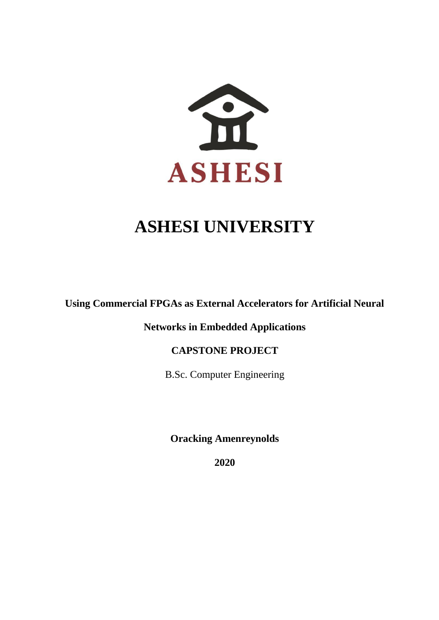

# **ASHESI UNIVERSITY**

Using Commercial FPGAs as External Accelerators for Artificial Neural approval from the Ashesi University College Marketing  $C$ 

**Networks in Embedded Applications** 

# **CAPSTONE PROJECT**

B.Sc. Computer Engineering

**Oracking Amenreynolds** 

**2020**  $2020$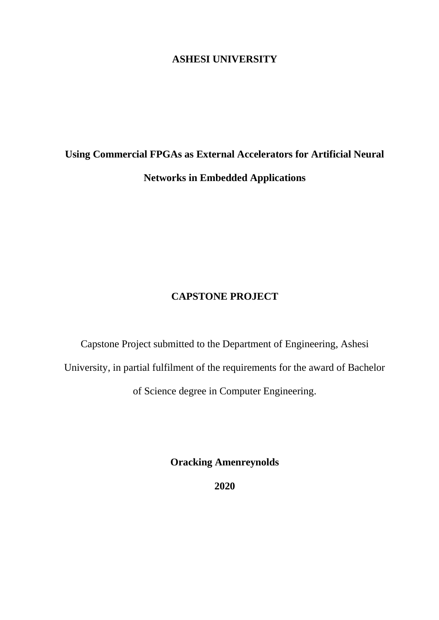# **ASHESI UNIVERSITY**

# **Using Commercial FPGAs as External Accelerators for Artificial Neural Networks in Embedded Applications**

# **CAPSTONE PROJECT**

Capstone Project submitted to the Department of Engineering, Ashesi University, in partial fulfilment of the requirements for the award of Bachelor of Science degree in Computer Engineering.

**Oracking Amenreynolds**

**2020**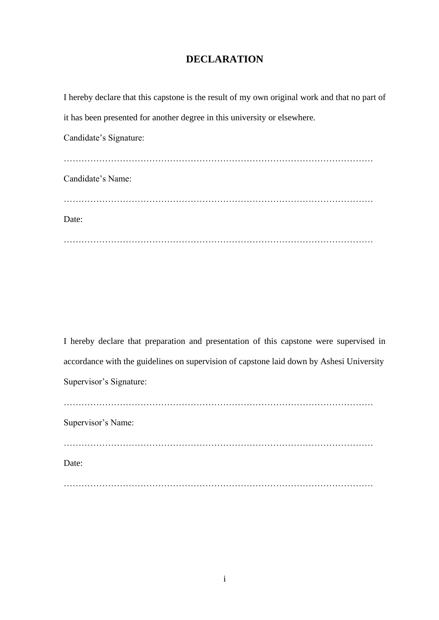# **DECLARATION**

| I hereby declare that this capstone is the result of my own original work and that no part of |
|-----------------------------------------------------------------------------------------------|
| it has been presented for another degree in this university or elsewhere.                     |
| Candidate's Signature:                                                                        |
|                                                                                               |
| Candidate's Name:                                                                             |
|                                                                                               |
| Date:                                                                                         |
|                                                                                               |

I hereby declare that preparation and presentation of this capstone were supervised in accordance with the guidelines on supervision of capstone laid down by Ashesi University Supervisor's Signature: ……………………………………………………………………………………………

Supervisor's Name: …………………………………………………………………………………………… Date:

……………………………………………………………………………………………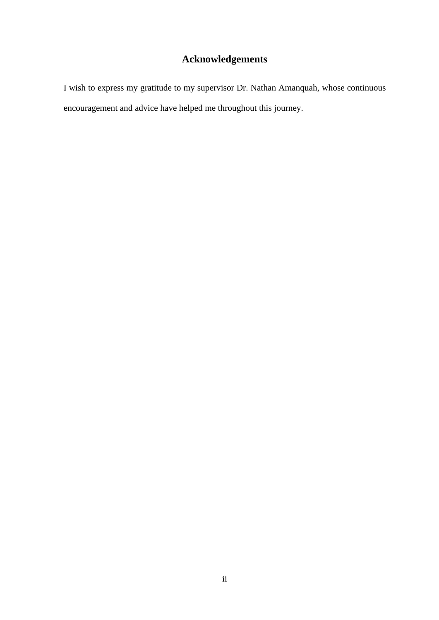# **Acknowledgements**

<span id="page-3-0"></span>I wish to express my gratitude to my supervisor Dr. Nathan Amanquah, whose continuous encouragement and advice have helped me throughout this journey.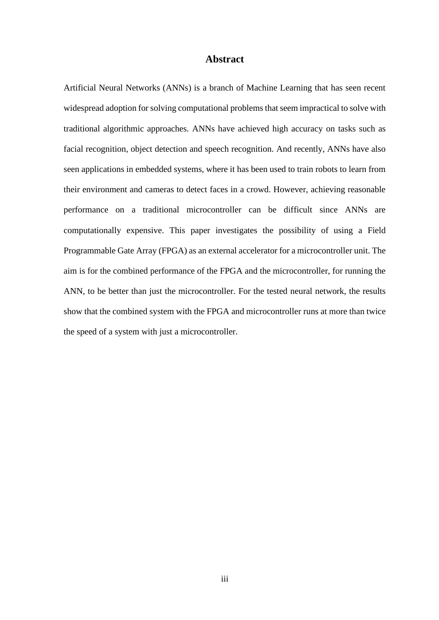# **Abstract**

<span id="page-4-0"></span>Artificial Neural Networks (ANNs) is a branch of Machine Learning that has seen recent widespread adoption for solving computational problems that seem impractical to solve with traditional algorithmic approaches. ANNs have achieved high accuracy on tasks such as facial recognition, object detection and speech recognition. And recently, ANNs have also seen applications in embedded systems, where it has been used to train robots to learn from their environment and cameras to detect faces in a crowd. However, achieving reasonable performance on a traditional microcontroller can be difficult since ANNs are computationally expensive. This paper investigates the possibility of using a Field Programmable Gate Array (FPGA) as an external accelerator for a microcontroller unit. The aim is for the combined performance of the FPGA and the microcontroller, for running the ANN, to be better than just the microcontroller. For the tested neural network, the results show that the combined system with the FPGA and microcontroller runs at more than twice the speed of a system with just a microcontroller.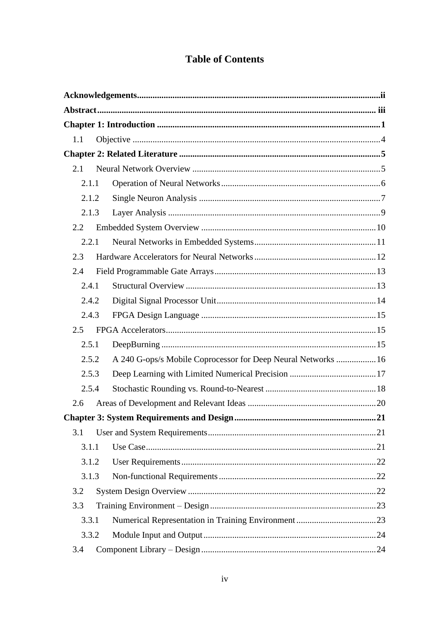# **Table of Contents**

| 1.1   |       |                                                               |  |
|-------|-------|---------------------------------------------------------------|--|
|       |       |                                                               |  |
| 2.1   |       |                                                               |  |
|       | 2.1.1 |                                                               |  |
|       | 2.1.2 |                                                               |  |
|       | 2.1.3 |                                                               |  |
| 2.2   |       |                                                               |  |
|       | 2.2.1 |                                                               |  |
| 2.3   |       |                                                               |  |
| 2.4   |       |                                                               |  |
| 2.4.1 |       |                                                               |  |
|       | 2.4.2 |                                                               |  |
|       | 2.4.3 |                                                               |  |
| 2.5   |       |                                                               |  |
| 2.5.1 |       |                                                               |  |
|       | 2.5.2 | A 240 G-ops/s Mobile Coprocessor for Deep Neural Networks  16 |  |
|       | 2.5.3 |                                                               |  |
| 2.5.4 |       |                                                               |  |
| 2.6   |       |                                                               |  |
|       |       |                                                               |  |
| 3.1   |       |                                                               |  |
|       | 3.1.1 |                                                               |  |
|       | 3.1.2 |                                                               |  |
|       | 3.1.3 |                                                               |  |
| 3.2   |       |                                                               |  |
| 3.3   |       |                                                               |  |
|       | 3.3.1 |                                                               |  |
|       | 3.3.2 |                                                               |  |
| 3.4   |       |                                                               |  |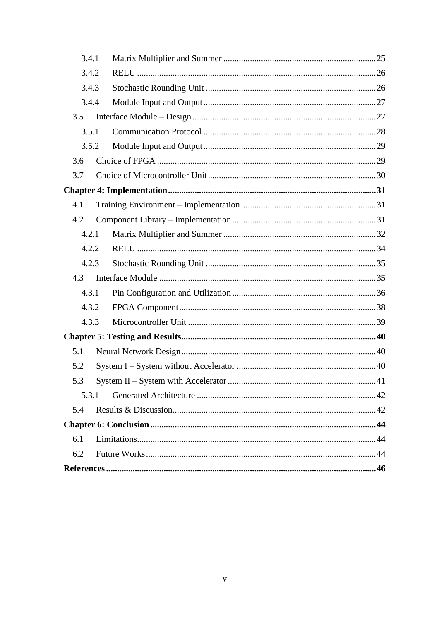| 3.4.1 |  |    |  |
|-------|--|----|--|
| 3.4.2 |  |    |  |
| 3.4.3 |  |    |  |
| 3.4.4 |  |    |  |
| 3.5   |  |    |  |
| 3.5.1 |  |    |  |
| 3.5.2 |  |    |  |
| 3.6   |  |    |  |
| 3.7   |  |    |  |
|       |  |    |  |
| 4.1   |  |    |  |
| 4.2   |  |    |  |
| 4.2.1 |  |    |  |
| 4.2.2 |  |    |  |
| 4.2.3 |  |    |  |
| 4.3   |  |    |  |
| 4.3.1 |  |    |  |
| 4.3.2 |  |    |  |
| 4.3.3 |  |    |  |
|       |  |    |  |
| 5.1   |  |    |  |
| 5.2   |  |    |  |
| 5.3   |  | 41 |  |
| 5.3.1 |  |    |  |
| 5.4   |  |    |  |
|       |  |    |  |
| 6.1   |  |    |  |
| 6.2   |  |    |  |
|       |  |    |  |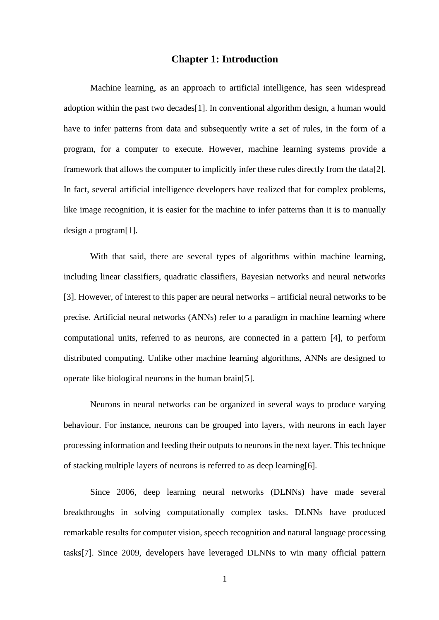## **Chapter 1: Introduction**

<span id="page-7-0"></span>Machine learning, as an approach to artificial intelligence, has seen widespread adoption within the past two decades[1]. In conventional algorithm design, a human would have to infer patterns from data and subsequently write a set of rules, in the form of a program, for a computer to execute. However, machine learning systems provide a framework that allows the computer to implicitly infer these rules directly from the data[2]. In fact, several artificial intelligence developers have realized that for complex problems, like image recognition, it is easier for the machine to infer patterns than it is to manually design a program[1].

With that said, there are several types of algorithms within machine learning, including linear classifiers, quadratic classifiers, Bayesian networks and neural networks [3]. However, of interest to this paper are neural networks – artificial neural networks to be precise. Artificial neural networks (ANNs) refer to a paradigm in machine learning where computational units, referred to as neurons, are connected in a pattern [4], to perform distributed computing. Unlike other machine learning algorithms, ANNs are designed to operate like biological neurons in the human brain[5].

Neurons in neural networks can be organized in several ways to produce varying behaviour. For instance, neurons can be grouped into layers, with neurons in each layer processing information and feeding their outputs to neurons in the next layer. This technique of stacking multiple layers of neurons is referred to as deep learning[6].

Since 2006, deep learning neural networks (DLNNs) have made several breakthroughs in solving computationally complex tasks. DLNNs have produced remarkable results for computer vision, speech recognition and natural language processing tasks[7]. Since 2009, developers have leveraged DLNNs to win many official pattern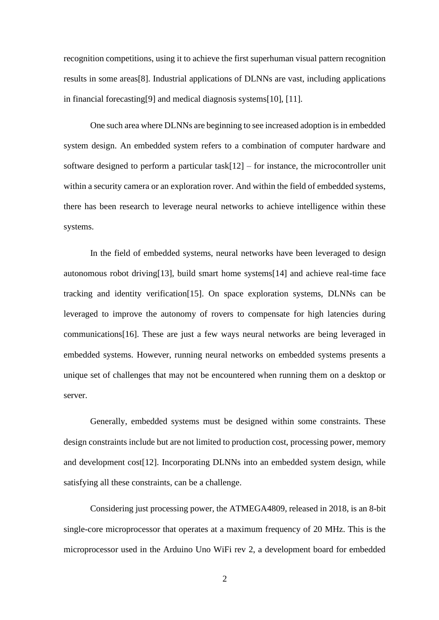recognition competitions, using it to achieve the first superhuman visual pattern recognition results in some areas[8]. Industrial applications of DLNNs are vast, including applications in financial forecasting[9] and medical diagnosis systems[10], [11].

One such area where DLNNs are beginning to see increased adoption is in embedded system design. An embedded system refers to a combination of computer hardware and software designed to perform a particular task[12] – for instance, the microcontroller unit within a security camera or an exploration rover. And within the field of embedded systems, there has been research to leverage neural networks to achieve intelligence within these systems.

In the field of embedded systems, neural networks have been leveraged to design autonomous robot driving[13], build smart home systems[14] and achieve real-time face tracking and identity verification[15]. On space exploration systems, DLNNs can be leveraged to improve the autonomy of rovers to compensate for high latencies during communications[16]. These are just a few ways neural networks are being leveraged in embedded systems. However, running neural networks on embedded systems presents a unique set of challenges that may not be encountered when running them on a desktop or server.

Generally, embedded systems must be designed within some constraints. These design constraints include but are not limited to production cost, processing power, memory and development cost[12]. Incorporating DLNNs into an embedded system design, while satisfying all these constraints, can be a challenge.

Considering just processing power, the ATMEGA4809, released in 2018, is an 8-bit single-core microprocessor that operates at a maximum frequency of 20 MHz. This is the microprocessor used in the Arduino Uno WiFi rev 2, a development board for embedded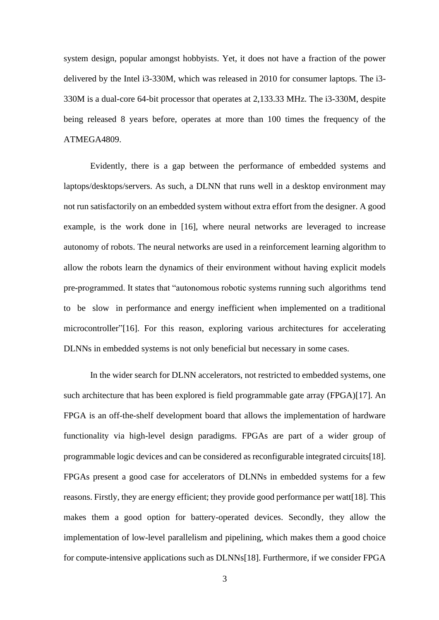system design, popular amongst hobbyists. Yet, it does not have a fraction of the power delivered by the Intel i3-330M, which was released in 2010 for consumer laptops. The i3- 330M is a dual-core 64-bit processor that operates at 2,133.33 MHz. The i3-330M, despite being released 8 years before, operates at more than 100 times the frequency of the ATMEGA4809.

Evidently, there is a gap between the performance of embedded systems and laptops/desktops/servers. As such, a DLNN that runs well in a desktop environment may not run satisfactorily on an embedded system without extra effort from the designer. A good example, is the work done in [16], where neural networks are leveraged to increase autonomy of robots. The neural networks are used in a reinforcement learning algorithm to allow the robots learn the dynamics of their environment without having explicit models pre-programmed. It states that "autonomous robotic systems running such algorithms tend to be slow in performance and energy inefficient when implemented on a traditional microcontroller"[16]. For this reason, exploring various architectures for accelerating DLNNs in embedded systems is not only beneficial but necessary in some cases.

In the wider search for DLNN accelerators, not restricted to embedded systems, one such architecture that has been explored is field programmable gate array (FPGA)[17]. An FPGA is an off-the-shelf development board that allows the implementation of hardware functionality via high-level design paradigms. FPGAs are part of a wider group of programmable logic devices and can be considered as reconfigurable integrated circuits[18]. FPGAs present a good case for accelerators of DLNNs in embedded systems for a few reasons. Firstly, they are energy efficient; they provide good performance per watt[18]. This makes them a good option for battery-operated devices. Secondly, they allow the implementation of low-level parallelism and pipelining, which makes them a good choice for compute-intensive applications such as DLNNs[18]. Furthermore, if we consider FPGA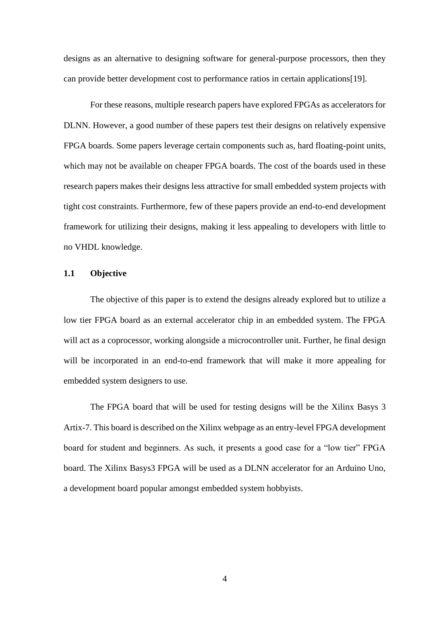designs as an alternative to designing software for general-purpose processors, then they can provide better development cost to performance ratios in certain applications[19].

For these reasons, multiple research papers have explored FPGAs as accelerators for DLNN. However, a good number of these papers test their designs on relatively expensive FPGA boards. Some papers leverage certain components such as, hard floating-point units, which may not be available on cheaper FPGA boards. The cost of the boards used in these research papers makes their designs less attractive for small embedded system projects with tight cost constraints. Furthermore, few of these papers provide an end-to-end development framework for utilizing their designs, making it less appealing to developers with little to no VHDL knowledge.

# <span id="page-10-0"></span>**1.1 Objective**

The objective of this paper is to extend the designs already explored but to utilize a low tier FPGA board as an external accelerator chip in an embedded system. The FPGA will act as a coprocessor, working alongside a microcontroller unit. Further, he final design will be incorporated in an end-to-end framework that will make it more appealing for embedded system designers to use.

The FPGA board that will be used for testing designs will be the Xilinx Basys 3 Artix-7. This board is described on the Xilinx webpage as an entry-level FPGA development board for student and beginners. As such, it presents a good case for a "low tier" FPGA board. The Xilinx Basys3 FPGA will be used as a DLNN accelerator for an Arduino Uno, a development board popular amongst embedded system hobbyists.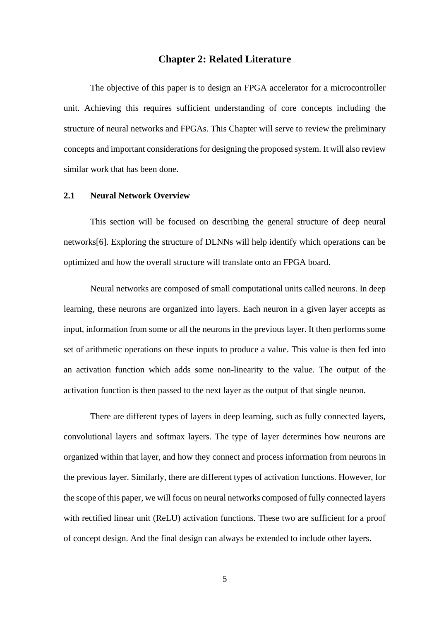# **Chapter 2: Related Literature**

<span id="page-11-0"></span>The objective of this paper is to design an FPGA accelerator for a microcontroller unit. Achieving this requires sufficient understanding of core concepts including the structure of neural networks and FPGAs. This Chapter will serve to review the preliminary concepts and important considerations for designing the proposed system. It will also review similar work that has been done.

#### <span id="page-11-1"></span>**2.1 Neural Network Overview**

This section will be focused on describing the general structure of deep neural networks[6]. Exploring the structure of DLNNs will help identify which operations can be optimized and how the overall structure will translate onto an FPGA board.

Neural networks are composed of small computational units called neurons. In deep learning, these neurons are organized into layers. Each neuron in a given layer accepts as input, information from some or all the neurons in the previous layer. It then performs some set of arithmetic operations on these inputs to produce a value. This value is then fed into an activation function which adds some non-linearity to the value. The output of the activation function is then passed to the next layer as the output of that single neuron.

There are different types of layers in deep learning, such as fully connected layers, convolutional layers and softmax layers. The type of layer determines how neurons are organized within that layer, and how they connect and process information from neurons in the previous layer. Similarly, there are different types of activation functions. However, for the scope of this paper, we will focus on neural networks composed of fully connected layers with rectified linear unit (ReLU) activation functions. These two are sufficient for a proof of concept design. And the final design can always be extended to include other layers.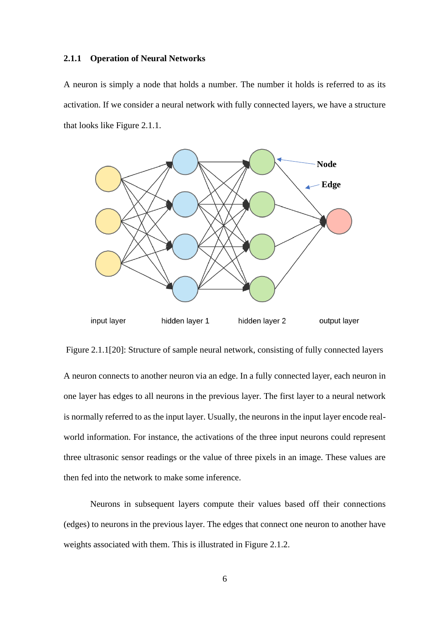#### <span id="page-12-0"></span>**2.1.1 Operation of Neural Networks**

A neuron is simply a node that holds a number. The number it holds is referred to as its activation. If we consider a neural network with fully connected layers, we have a structure that looks like Figure 2.1.1.



Figure 2.1.1[20]: Structure of sample neural network, consisting of fully connected layers A neuron connects to another neuron via an edge. In a fully connected layer, each neuron in one layer has edges to all neurons in the previous layer. The first layer to a neural network is normally referred to as the input layer. Usually, the neurons in the input layer encode realworld information. For instance, the activations of the three input neurons could represent three ultrasonic sensor readings or the value of three pixels in an image. These values are then fed into the network to make some inference.

Neurons in subsequent layers compute their values based off their connections (edges) to neurons in the previous layer. The edges that connect one neuron to another have weights associated with them. This is illustrated in Figure 2.1.2.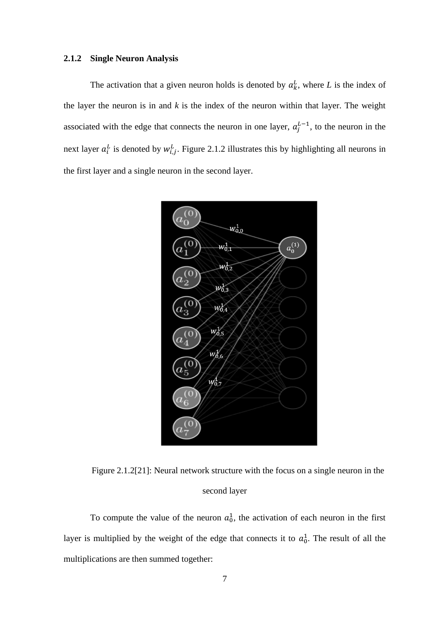# <span id="page-13-0"></span>**2.1.2 Single Neuron Analysis**

The activation that a given neuron holds is denoted by  $a_k^L$ , where L is the index of the layer the neuron is in and  $k$  is the index of the neuron within that layer. The weight associated with the edge that connects the neuron in one layer,  $a_j^{L-1}$ , to the neuron in the next layer  $a_i^L$  is denoted by  $w_{i,j}^L$ . Figure 2.1.2 illustrates this by highlighting all neurons in the first layer and a single neuron in the second layer.



Figure 2.1.2[21]: Neural network structure with the focus on a single neuron in the second layer

To compute the value of the neuron  $a_0^1$ , the activation of each neuron in the first layer is multiplied by the weight of the edge that connects it to  $a_0^1$ . The result of all the multiplications are then summed together: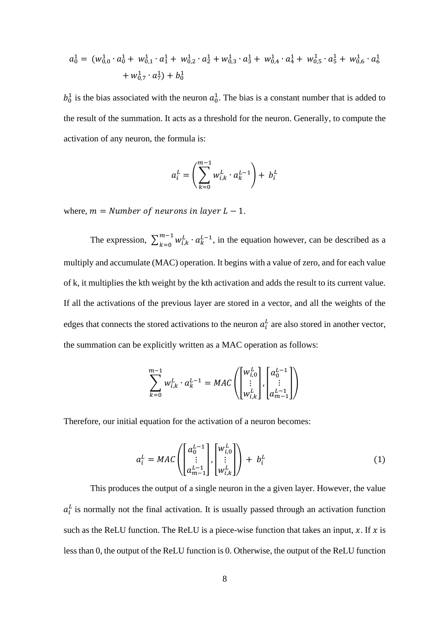$$
a_0^1 = (w_{0,0}^1 \cdot a_0^1 + w_{0,1}^1 \cdot a_1^1 + w_{0,2}^1 \cdot a_2^1 + w_{0,3}^1 \cdot a_3^1 + w_{0,4}^1 \cdot a_4^1 + w_{0,5}^1 \cdot a_5^1 + w_{0,6}^1 \cdot a_6^1 + w_{0,7}^1 \cdot a_7^1) + b_0^1
$$

 $b_0^1$  is the bias associated with the neuron  $a_0^1$ . The bias is a constant number that is added to the result of the summation. It acts as a threshold for the neuron. Generally, to compute the activation of any neuron, the formula is:

$$
a_i^L = \left(\sum_{k=0}^{m-1} w_{i,k}^L \cdot a_k^{L-1}\right) + b_i^L
$$

where,  $m =$  *Number of neurons in layer L*  $-$  1.

The expression,  $\sum_{k=0}^{m-1} w_{i,k}^L \cdot a_k^{L-1}$  $\sum_{k=0}^{m-1} w_{i,k}^L \cdot a_k^{L-1}$ , in the equation however, can be described as a multiply and accumulate (MAC) operation. It begins with a value of zero, and for each value of k, it multiplies the kth weight by the kth activation and adds the result to its current value. If all the activations of the previous layer are stored in a vector, and all the weights of the edges that connects the stored activations to the neuron  $a_i^L$  are also stored in another vector, the summation can be explicitly written as a MAC operation as follows:

$$
\sum_{k=0}^{m-1} w_{i,k}^L \cdot a_k^{L-1} = MAC \left( \begin{bmatrix} w_{i,0}^L \\ \vdots \\ w_{i,k}^L \end{bmatrix}, \begin{bmatrix} a_0^{L-1} \\ \vdots \\ a_{m-1}^{L-1} \end{bmatrix} \right)
$$

Therefore, our initial equation for the activation of a neuron becomes:

$$
a_i^L = MAC \left( \begin{bmatrix} a_0^{L-1} \\ \vdots \\ a_{m-1}^{L-1} \end{bmatrix}, \begin{bmatrix} w_{i,0}^L \\ \vdots \\ w_{i,k}^L \end{bmatrix} \right) + b_i^L
$$
 (1)

This produces the output of a single neuron in the a given layer. However, the value  $a_i^L$  is normally not the final activation. It is usually passed through an activation function such as the ReLU function. The ReLU is a piece-wise function that takes an input,  $x$ . If  $x$  is less than 0, the output of the ReLU function is 0. Otherwise, the output of the ReLU function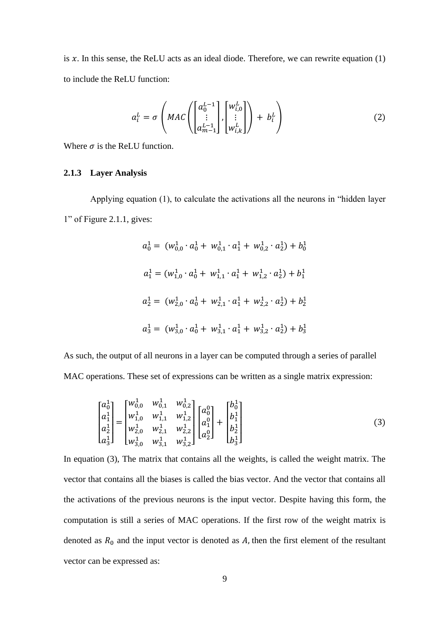is  $x$ . In this sense, the ReLU acts as an ideal diode. Therefore, we can rewrite equation (1) to include the ReLU function:

$$
a_i^L = \sigma \left( MAC \left( \begin{bmatrix} a_0^{L-1} \\ \vdots \\ a_{m-1}^{L-1} \end{bmatrix}, \begin{bmatrix} w_{i,0}^L \\ \vdots \\ w_{i,k}^L \end{bmatrix} \right) + b_i^L \right)
$$
(2)

Where  $\sigma$  is the ReLU function.

#### <span id="page-15-0"></span>**2.1.3 Layer Analysis**

Applying equation (1), to calculate the activations all the neurons in "hidden layer 1" of Figure 2.1.1, gives:

$$
a_0^1 = (w_{0,0}^1 \cdot a_0^1 + w_{0,1}^1 \cdot a_1^1 + w_{0,2}^1 \cdot a_2^1) + b_0^1
$$
  
\n
$$
a_1^1 = (w_{1,0}^1 \cdot a_0^1 + w_{1,1}^1 \cdot a_1^1 + w_{1,2}^1 \cdot a_2^1) + b_1^1
$$
  
\n
$$
a_2^1 = (w_{2,0}^1 \cdot a_0^1 + w_{2,1}^1 \cdot a_1^1 + w_{2,2}^1 \cdot a_2^1) + b_2^1
$$
  
\n
$$
a_3^1 = (w_{3,0}^1 \cdot a_0^1 + w_{3,1}^1 \cdot a_1^1 + w_{3,2}^1 \cdot a_2^1) + b_3^1
$$

As such, the output of all neurons in a layer can be computed through a series of parallel MAC operations. These set of expressions can be written as a single matrix expression:

$$
\begin{bmatrix} a_0^1 \ a_1^1 \ a_1^1 \ a_2^1 \end{bmatrix} = \begin{bmatrix} w_{0,0}^1 & w_{0,1}^1 & w_{0,2}^1 \\ w_{1,0}^1 & w_{1,1}^1 & w_{1,2}^1 \\ w_{2,0}^1 & w_{2,1}^1 & w_{2,2}^1 \\ w_{3,0}^1 & w_{3,1}^1 & w_{3,2}^1 \end{bmatrix} \begin{bmatrix} a_0^0 \\ a_1^0 \\ a_2^0 \end{bmatrix} + \begin{bmatrix} b_0^1 \\ b_1^1 \\ b_2^1 \\ b_3^1 \end{bmatrix}
$$
 (3)

In equation (3), The matrix that contains all the weights, is called the weight matrix. The vector that contains all the biases is called the bias vector. And the vector that contains all the activations of the previous neurons is the input vector. Despite having this form, the computation is still a series of MAC operations. If the first row of the weight matrix is denoted as  $R_0$  and the input vector is denoted as A, then the first element of the resultant vector can be expressed as: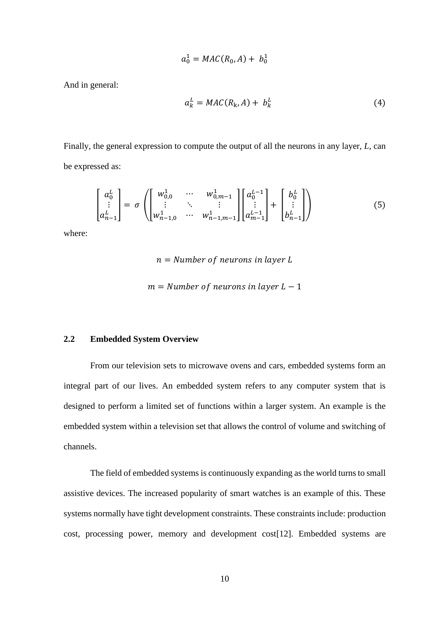$$
a_0^1 = MAC(R_0, A) + b_0^1
$$

And in general:

$$
a_k^L = MAC(R_k, A) + b_k^L \tag{4}
$$

Finally, the general expression to compute the output of all the neurons in any layer, *L*, can be expressed as:

$$
\begin{bmatrix} a_0^L \\ \vdots \\ a_{n-1}^L \end{bmatrix} = \sigma \left( \begin{bmatrix} w_{0,0}^1 & \cdots & w_{0,m-1}^1 \\ \vdots & \ddots & \vdots \\ w_{n-1,0}^1 & \cdots & w_{n-1,m-1}^1 \end{bmatrix} \begin{bmatrix} a_0^{L-1} \\ \vdots \\ a_{m-1}^{L-1} \end{bmatrix} + \begin{bmatrix} b_0^L \\ \vdots \\ b_{n-1}^L \end{bmatrix} \right) \tag{5}
$$

where:

 $n =$  Number of neurons in layer L

 $m =$  Number of neurons in layer  $L - 1$ 

# <span id="page-16-0"></span>**2.2 Embedded System Overview**

From our television sets to microwave ovens and cars, embedded systems form an integral part of our lives. An embedded system refers to any computer system that is designed to perform a limited set of functions within a larger system. An example is the embedded system within a television set that allows the control of volume and switching of channels.

The field of embedded systems is continuously expanding as the world turns to small assistive devices. The increased popularity of smart watches is an example of this. These systems normally have tight development constraints. These constraints include: production cost, processing power, memory and development cost[12]. Embedded systems are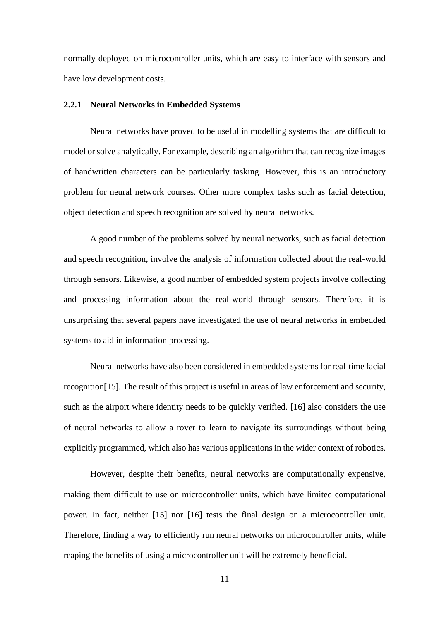normally deployed on microcontroller units, which are easy to interface with sensors and have low development costs.

#### <span id="page-17-0"></span>**2.2.1 Neural Networks in Embedded Systems**

Neural networks have proved to be useful in modelling systems that are difficult to model or solve analytically. For example, describing an algorithm that can recognize images of handwritten characters can be particularly tasking. However, this is an introductory problem for neural network courses. Other more complex tasks such as facial detection, object detection and speech recognition are solved by neural networks.

A good number of the problems solved by neural networks, such as facial detection and speech recognition, involve the analysis of information collected about the real-world through sensors. Likewise, a good number of embedded system projects involve collecting and processing information about the real-world through sensors. Therefore, it is unsurprising that several papers have investigated the use of neural networks in embedded systems to aid in information processing.

Neural networks have also been considered in embedded systems for real-time facial recognition[15]. The result of this project is useful in areas of law enforcement and security, such as the airport where identity needs to be quickly verified. [16] also considers the use of neural networks to allow a rover to learn to navigate its surroundings without being explicitly programmed, which also has various applications in the wider context of robotics.

However, despite their benefits, neural networks are computationally expensive, making them difficult to use on microcontroller units, which have limited computational power. In fact, neither [15] nor [16] tests the final design on a microcontroller unit. Therefore, finding a way to efficiently run neural networks on microcontroller units, while reaping the benefits of using a microcontroller unit will be extremely beneficial.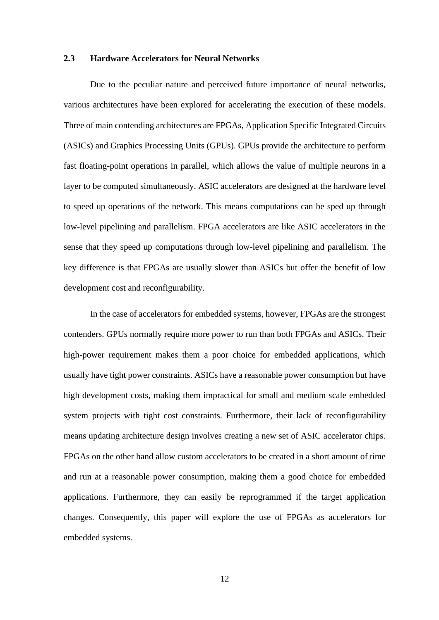#### <span id="page-18-0"></span>**2.3 Hardware Accelerators for Neural Networks**

Due to the peculiar nature and perceived future importance of neural networks, various architectures have been explored for accelerating the execution of these models. Three of main contending architectures are FPGAs, Application Specific Integrated Circuits (ASICs) and Graphics Processing Units (GPUs). GPUs provide the architecture to perform fast floating-point operations in parallel, which allows the value of multiple neurons in a layer to be computed simultaneously. ASIC accelerators are designed at the hardware level to speed up operations of the network. This means computations can be sped up through low-level pipelining and parallelism. FPGA accelerators are like ASIC accelerators in the sense that they speed up computations through low-level pipelining and parallelism. The key difference is that FPGAs are usually slower than ASICs but offer the benefit of low development cost and reconfigurability.

In the case of accelerators for embedded systems, however, FPGAs are the strongest contenders. GPUs normally require more power to run than both FPGAs and ASICs. Their high-power requirement makes them a poor choice for embedded applications, which usually have tight power constraints. ASICs have a reasonable power consumption but have high development costs, making them impractical for small and medium scale embedded system projects with tight cost constraints. Furthermore, their lack of reconfigurability means updating architecture design involves creating a new set of ASIC accelerator chips. FPGAs on the other hand allow custom accelerators to be created in a short amount of time and run at a reasonable power consumption, making them a good choice for embedded applications. Furthermore, they can easily be reprogrammed if the target application changes. Consequently, this paper will explore the use of FPGAs as accelerators for embedded systems.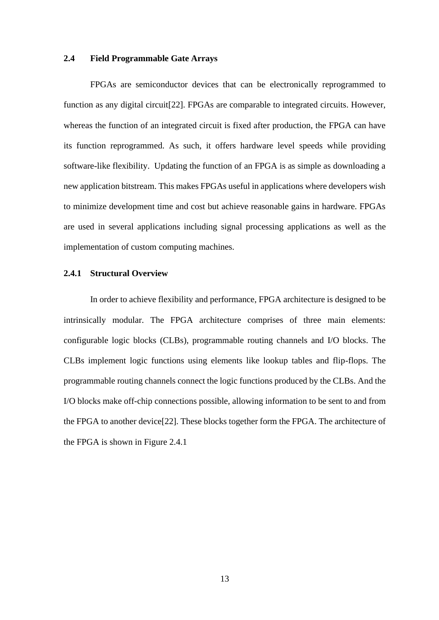#### <span id="page-19-0"></span>**2.4 Field Programmable Gate Arrays**

FPGAs are semiconductor devices that can be electronically reprogrammed to function as any digital circuit[22]. FPGAs are comparable to integrated circuits. However, whereas the function of an integrated circuit is fixed after production, the FPGA can have its function reprogrammed. As such, it offers hardware level speeds while providing software-like flexibility. Updating the function of an FPGA is as simple as downloading a new application bitstream. This makes FPGAs useful in applications where developers wish to minimize development time and cost but achieve reasonable gains in hardware. FPGAs are used in several applications including signal processing applications as well as the implementation of custom computing machines.

# <span id="page-19-1"></span>**2.4.1 Structural Overview**

In order to achieve flexibility and performance, FPGA architecture is designed to be intrinsically modular. The FPGA architecture comprises of three main elements: configurable logic blocks (CLBs), programmable routing channels and I/O blocks. The CLBs implement logic functions using elements like lookup tables and flip-flops. The programmable routing channels connect the logic functions produced by the CLBs. And the I/O blocks make off-chip connections possible, allowing information to be sent to and from the FPGA to another device[22]. These blocks together form the FPGA. The architecture of the FPGA is shown in Figure 2.4.1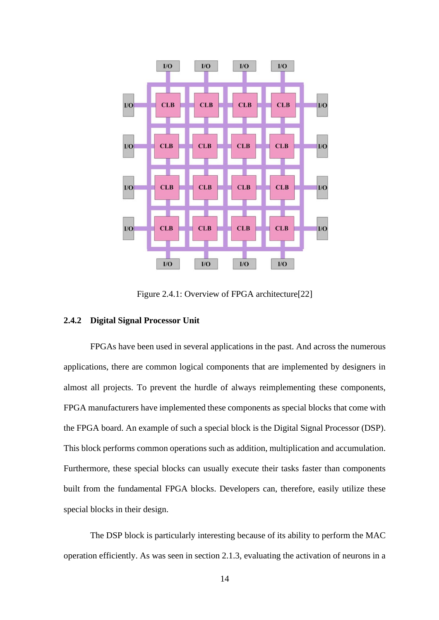

Figure 2.4.1: Overview of FPGA architecture[22]

# <span id="page-20-0"></span>**2.4.2 Digital Signal Processor Unit**

FPGAs have been used in several applications in the past. And across the numerous applications, there are common logical components that are implemented by designers in almost all projects. To prevent the hurdle of always reimplementing these components, FPGA manufacturers have implemented these components as special blocks that come with the FPGA board. An example of such a special block is the Digital Signal Processor (DSP). This block performs common operations such as addition, multiplication and accumulation. Furthermore, these special blocks can usually execute their tasks faster than components built from the fundamental FPGA blocks. Developers can, therefore, easily utilize these special blocks in their design.

The DSP block is particularly interesting because of its ability to perform the MAC operation efficiently. As was seen in section 2.1.3, evaluating the activation of neurons in a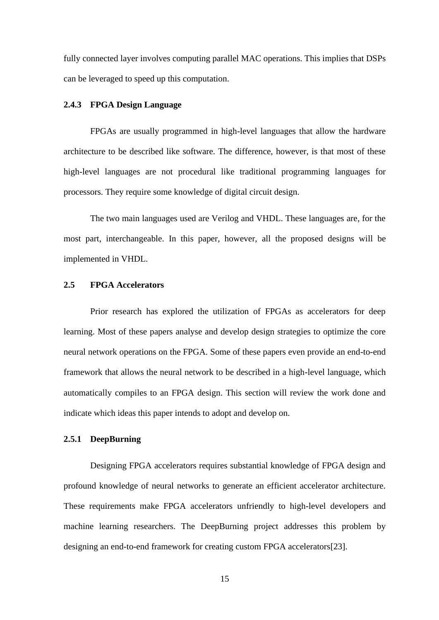fully connected layer involves computing parallel MAC operations. This implies that DSPs can be leveraged to speed up this computation.

#### <span id="page-21-0"></span>**2.4.3 FPGA Design Language**

FPGAs are usually programmed in high-level languages that allow the hardware architecture to be described like software. The difference, however, is that most of these high-level languages are not procedural like traditional programming languages for processors. They require some knowledge of digital circuit design.

The two main languages used are Verilog and VHDL. These languages are, for the most part, interchangeable. In this paper, however, all the proposed designs will be implemented in VHDL.

#### <span id="page-21-1"></span>**2.5 FPGA Accelerators**

Prior research has explored the utilization of FPGAs as accelerators for deep learning. Most of these papers analyse and develop design strategies to optimize the core neural network operations on the FPGA. Some of these papers even provide an end-to-end framework that allows the neural network to be described in a high-level language, which automatically compiles to an FPGA design. This section will review the work done and indicate which ideas this paper intends to adopt and develop on.

# <span id="page-21-2"></span>**2.5.1 DeepBurning**

Designing FPGA accelerators requires substantial knowledge of FPGA design and profound knowledge of neural networks to generate an efficient accelerator architecture. These requirements make FPGA accelerators unfriendly to high-level developers and machine learning researchers. The DeepBurning project addresses this problem by designing an end-to-end framework for creating custom FPGA accelerators[23].

15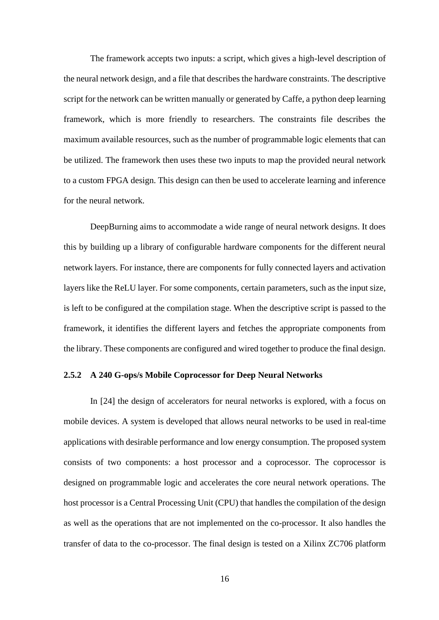The framework accepts two inputs: a script, which gives a high-level description of the neural network design, and a file that describes the hardware constraints. The descriptive script for the network can be written manually or generated by Caffe, a python deep learning framework, which is more friendly to researchers. The constraints file describes the maximum available resources, such as the number of programmable logic elements that can be utilized. The framework then uses these two inputs to map the provided neural network to a custom FPGA design. This design can then be used to accelerate learning and inference for the neural network.

DeepBurning aims to accommodate a wide range of neural network designs. It does this by building up a library of configurable hardware components for the different neural network layers. For instance, there are components for fully connected layers and activation layers like the ReLU layer. For some components, certain parameters, such as the input size, is left to be configured at the compilation stage. When the descriptive script is passed to the framework, it identifies the different layers and fetches the appropriate components from the library. These components are configured and wired together to produce the final design.

# <span id="page-22-0"></span>**2.5.2 A 240 G-ops/s Mobile Coprocessor for Deep Neural Networks**

In [24] the design of accelerators for neural networks is explored, with a focus on mobile devices. A system is developed that allows neural networks to be used in real-time applications with desirable performance and low energy consumption. The proposed system consists of two components: a host processor and a coprocessor. The coprocessor is designed on programmable logic and accelerates the core neural network operations. The host processor is a Central Processing Unit (CPU) that handles the compilation of the design as well as the operations that are not implemented on the co-processor. It also handles the transfer of data to the co-processor. The final design is tested on a Xilinx ZC706 platform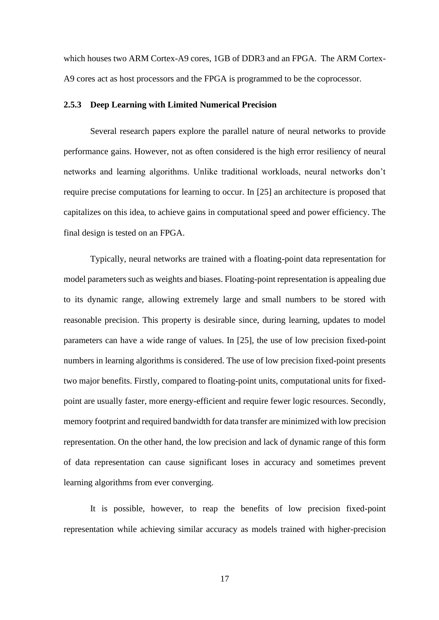which houses two ARM Cortex-A9 cores, 1GB of DDR3 and an FPGA. The ARM Cortex-A9 cores act as host processors and the FPGA is programmed to be the coprocessor.

#### <span id="page-23-0"></span>**2.5.3 Deep Learning with Limited Numerical Precision**

Several research papers explore the parallel nature of neural networks to provide performance gains. However, not as often considered is the high error resiliency of neural networks and learning algorithms. Unlike traditional workloads, neural networks don't require precise computations for learning to occur. In [25] an architecture is proposed that capitalizes on this idea, to achieve gains in computational speed and power efficiency. The final design is tested on an FPGA.

Typically, neural networks are trained with a floating-point data representation for model parameters such as weights and biases. Floating-point representation is appealing due to its dynamic range, allowing extremely large and small numbers to be stored with reasonable precision. This property is desirable since, during learning, updates to model parameters can have a wide range of values. In [25], the use of low precision fixed-point numbers in learning algorithms is considered. The use of low precision fixed-point presents two major benefits. Firstly, compared to floating-point units, computational units for fixedpoint are usually faster, more energy-efficient and require fewer logic resources. Secondly, memory footprint and required bandwidth for data transfer are minimized with low precision representation. On the other hand, the low precision and lack of dynamic range of this form of data representation can cause significant loses in accuracy and sometimes prevent learning algorithms from ever converging.

It is possible, however, to reap the benefits of low precision fixed-point representation while achieving similar accuracy as models trained with higher-precision

17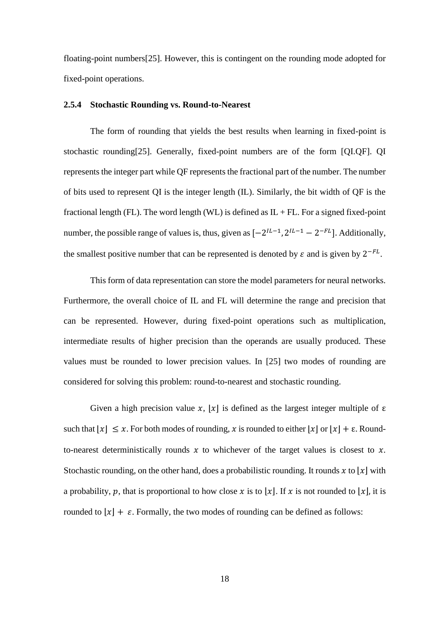floating-point numbers[25]. However, this is contingent on the rounding mode adopted for fixed-point operations.

# <span id="page-24-0"></span>**2.5.4 Stochastic Rounding vs. Round-to-Nearest**

The form of rounding that yields the best results when learning in fixed-point is stochastic rounding[25]. Generally, fixed-point numbers are of the form [QI.QF]. QI represents the integer part while QF represents the fractional part of the number. The number of bits used to represent QI is the integer length (IL). Similarly, the bit width of QF is the fractional length (FL). The word length (WL) is defined as  $IL + FL$ . For a signed fixed-point number, the possible range of values is, thus, given as  $[-2^{lL-1}, 2^{lL-1} - 2^{-FL}]$ . Additionally, the smallest positive number that can be represented is denoted by  $\varepsilon$  and is given by  $2^{-FL}$ .

This form of data representation can store the model parameters for neural networks. Furthermore, the overall choice of IL and FL will determine the range and precision that can be represented. However, during fixed-point operations such as multiplication, intermediate results of higher precision than the operands are usually produced. These values must be rounded to lower precision values. In [25] two modes of rounding are considered for solving this problem: round-to-nearest and stochastic rounding.

Given a high precision value x,  $[x]$  is defined as the largest integer multiple of  $\varepsilon$ such that  $\lfloor x \rfloor \leq x$ . For both modes of rounding, x is rounded to either  $\lfloor x \rfloor$  or  $\lfloor x \rfloor + \epsilon$ . Roundto-nearest deterministically rounds  $x$  to whichever of the target values is closest to  $x$ . Stochastic rounding, on the other hand, does a probabilistic rounding. It rounds x to  $|x|$  with a probability, p, that is proportional to how close x is to |x|. If x is not rounded to |x|, it is rounded to  $|x| + \varepsilon$ . Formally, the two modes of rounding can be defined as follows: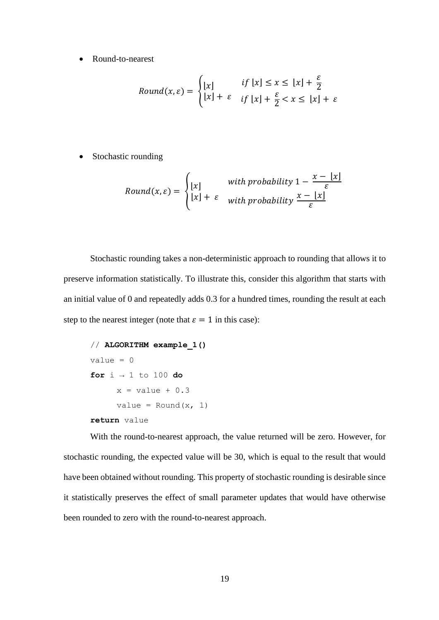• Round-to-nearest

$$
Round(x, \varepsilon) = \begin{cases} \lfloor x \rfloor & \text{if } \lfloor x \rfloor \le x \le \lfloor x \rfloor + \frac{\varepsilon}{2} \\ \lfloor x \rfloor + \varepsilon & \text{if } \lfloor x \rfloor + \frac{\varepsilon}{2} < x \le \lfloor x \rfloor + \varepsilon \end{cases}
$$

• Stochastic rounding

$$
Round(x, \varepsilon) = \begin{cases} \lfloor x \rfloor & \text{with probability } 1 - \frac{x - \lfloor x \rfloor}{\varepsilon} \\ \lfloor x \rfloor + \varepsilon & \text{with probability } \frac{x - \lfloor x \rfloor}{\varepsilon} \end{cases}
$$

Stochastic rounding takes a non-deterministic approach to rounding that allows it to preserve information statistically. To illustrate this, consider this algorithm that starts with an initial value of 0 and repeatedly adds 0.3 for a hundred times, rounding the result at each step to the nearest integer (note that  $\varepsilon = 1$  in this case):

```
// ALGORITHM example_1()
value = 0for i → 1 to 100 do
     x = value + 0.3value = Round(x, 1)return value
```
With the round-to-nearest approach, the value returned will be zero. However, for stochastic rounding, the expected value will be 30, which is equal to the result that would have been obtained without rounding. This property of stochastic rounding is desirable since it statistically preserves the effect of small parameter updates that would have otherwise been rounded to zero with the round-to-nearest approach.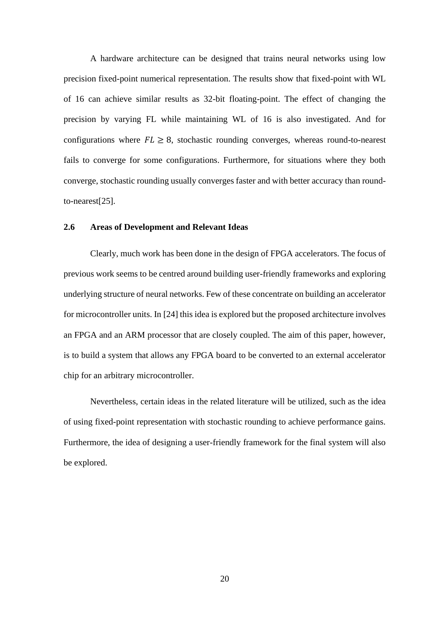A hardware architecture can be designed that trains neural networks using low precision fixed-point numerical representation. The results show that fixed-point with WL of 16 can achieve similar results as 32-bit floating-point. The effect of changing the precision by varying FL while maintaining WL of 16 is also investigated. And for configurations where  $FL \geq 8$ , stochastic rounding converges, whereas round-to-nearest fails to converge for some configurations. Furthermore, for situations where they both converge, stochastic rounding usually converges faster and with better accuracy than roundto-nearest[25].

#### <span id="page-26-0"></span>**2.6 Areas of Development and Relevant Ideas**

Clearly, much work has been done in the design of FPGA accelerators. The focus of previous work seems to be centred around building user-friendly frameworks and exploring underlying structure of neural networks. Few of these concentrate on building an accelerator for microcontroller units. In [24] this idea is explored but the proposed architecture involves an FPGA and an ARM processor that are closely coupled. The aim of this paper, however, is to build a system that allows any FPGA board to be converted to an external accelerator chip for an arbitrary microcontroller.

Nevertheless, certain ideas in the related literature will be utilized, such as the idea of using fixed-point representation with stochastic rounding to achieve performance gains. Furthermore, the idea of designing a user-friendly framework for the final system will also be explored.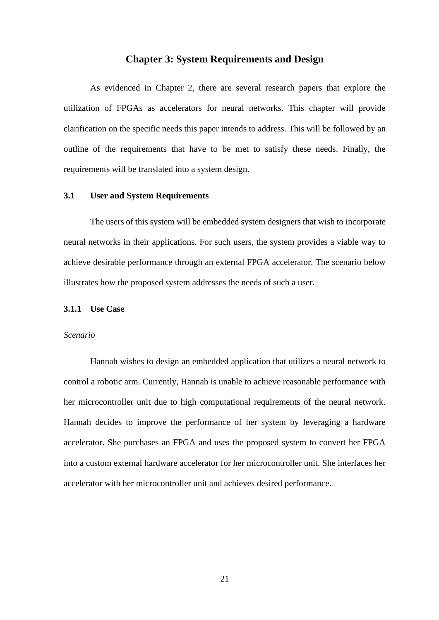## **Chapter 3: System Requirements and Design**

<span id="page-27-0"></span>As evidenced in Chapter 2, there are several research papers that explore the utilization of FPGAs as accelerators for neural networks. This chapter will provide clarification on the specific needs this paper intends to address. This will be followed by an outline of the requirements that have to be met to satisfy these needs. Finally, the requirements will be translated into a system design.

#### <span id="page-27-1"></span>**3.1 User and System Requirements**

The users of this system will be embedded system designers that wish to incorporate neural networks in their applications. For such users, the system provides a viable way to achieve desirable performance through an external FPGA accelerator. The scenario below illustrates how the proposed system addresses the needs of such a user.

#### <span id="page-27-2"></span>**3.1.1 Use Case**

#### *Scenario*

Hannah wishes to design an embedded application that utilizes a neural network to control a robotic arm. Currently, Hannah is unable to achieve reasonable performance with her microcontroller unit due to high computational requirements of the neural network. Hannah decides to improve the performance of her system by leveraging a hardware accelerator. She purchases an FPGA and uses the proposed system to convert her FPGA into a custom external hardware accelerator for her microcontroller unit. She interfaces her accelerator with her microcontroller unit and achieves desired performance.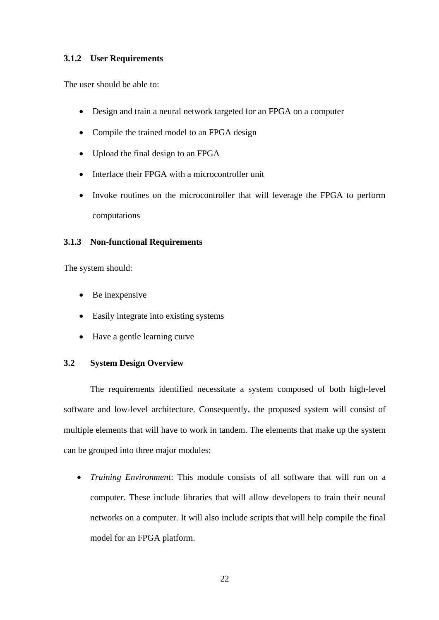# <span id="page-28-0"></span>**3.1.2 User Requirements**

The user should be able to:

- Design and train a neural network targeted for an FPGA on a computer
- Compile the trained model to an FPGA design
- Upload the final design to an FPGA
- Interface their FPGA with a microcontroller unit
- Invoke routines on the microcontroller that will leverage the FPGA to perform computations

# <span id="page-28-1"></span>**3.1.3 Non-functional Requirements**

The system should:

- Be inexpensive
- Easily integrate into existing systems
- Have a gentle learning curve

# <span id="page-28-2"></span>**3.2 System Design Overview**

The requirements identified necessitate a system composed of both high-level software and low-level architecture. Consequently, the proposed system will consist of multiple elements that will have to work in tandem. The elements that make up the system can be grouped into three major modules:

• *Training Environment*: This module consists of all software that will run on a computer. These include libraries that will allow developers to train their neural networks on a computer. It will also include scripts that will help compile the final model for an FPGA platform.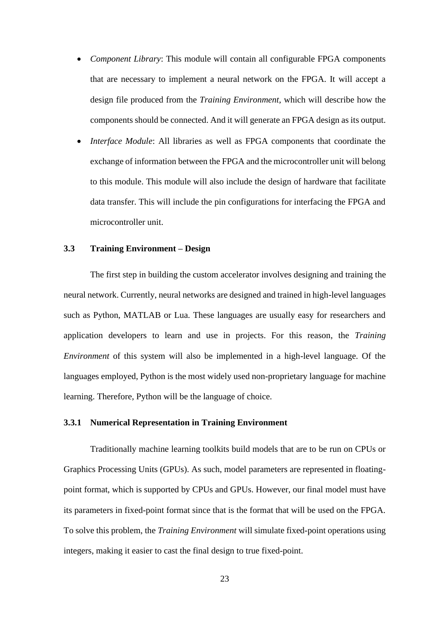- *Component Library*: This module will contain all configurable FPGA components that are necessary to implement a neural network on the FPGA. It will accept a design file produced from the *Training Environment*, which will describe how the components should be connected. And it will generate an FPGA design as its output.
- *Interface Module*: All libraries as well as FPGA components that coordinate the exchange of information between the FPGA and the microcontroller unit will belong to this module. This module will also include the design of hardware that facilitate data transfer. This will include the pin configurations for interfacing the FPGA and microcontroller unit.

# <span id="page-29-0"></span>**3.3 Training Environment – Design**

The first step in building the custom accelerator involves designing and training the neural network. Currently, neural networks are designed and trained in high-level languages such as Python, MATLAB or Lua. These languages are usually easy for researchers and application developers to learn and use in projects. For this reason, the *Training Environment* of this system will also be implemented in a high-level language. Of the languages employed, Python is the most widely used non-proprietary language for machine learning. Therefore, Python will be the language of choice.

# <span id="page-29-1"></span>**3.3.1 Numerical Representation in Training Environment**

Traditionally machine learning toolkits build models that are to be run on CPUs or Graphics Processing Units (GPUs). As such, model parameters are represented in floatingpoint format, which is supported by CPUs and GPUs. However, our final model must have its parameters in fixed-point format since that is the format that will be used on the FPGA. To solve this problem, the *Training Environment* will simulate fixed-point operations using integers, making it easier to cast the final design to true fixed-point.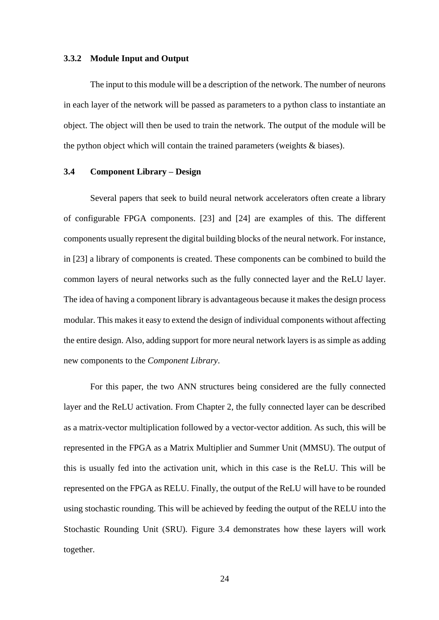#### <span id="page-30-0"></span>**3.3.2 Module Input and Output**

The input to this module will be a description of the network. The number of neurons in each layer of the network will be passed as parameters to a python class to instantiate an object. The object will then be used to train the network. The output of the module will be the python object which will contain the trained parameters (weights & biases).

#### <span id="page-30-1"></span>**3.4 Component Library – Design**

Several papers that seek to build neural network accelerators often create a library of configurable FPGA components. [23] and [24] are examples of this. The different components usually represent the digital building blocks of the neural network. For instance, in [23] a library of components is created. These components can be combined to build the common layers of neural networks such as the fully connected layer and the ReLU layer. The idea of having a component library is advantageous because it makes the design process modular. This makes it easy to extend the design of individual components without affecting the entire design. Also, adding support for more neural network layers is as simple as adding new components to the *Component Library*.

For this paper, the two ANN structures being considered are the fully connected layer and the ReLU activation. From Chapter 2, the fully connected layer can be described as a matrix-vector multiplication followed by a vector-vector addition. As such, this will be represented in the FPGA as a Matrix Multiplier and Summer Unit (MMSU). The output of this is usually fed into the activation unit, which in this case is the ReLU. This will be represented on the FPGA as RELU. Finally, the output of the ReLU will have to be rounded using stochastic rounding. This will be achieved by feeding the output of the RELU into the Stochastic Rounding Unit (SRU). Figure 3.4 demonstrates how these layers will work together.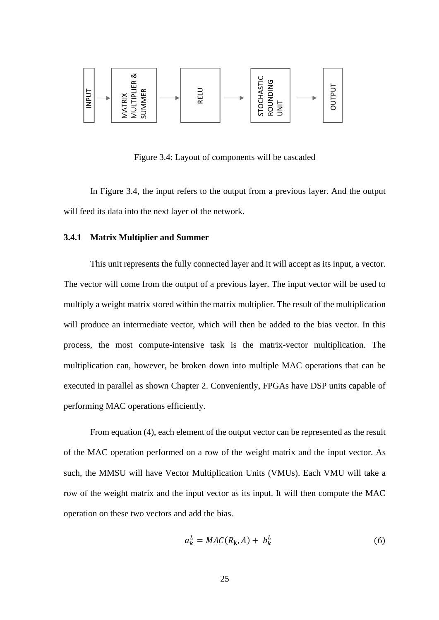

Figure 3.4: Layout of components will be cascaded

In Figure 3.4, the input refers to the output from a previous layer. And the output will feed its data into the next layer of the network.

# <span id="page-31-0"></span>**3.4.1 Matrix Multiplier and Summer**

This unit represents the fully connected layer and it will accept as its input, a vector. The vector will come from the output of a previous layer. The input vector will be used to multiply a weight matrix stored within the matrix multiplier. The result of the multiplication will produce an intermediate vector, which will then be added to the bias vector. In this process, the most compute-intensive task is the matrix-vector multiplication. The multiplication can, however, be broken down into multiple MAC operations that can be executed in parallel as shown Chapter 2. Conveniently, FPGAs have DSP units capable of performing MAC operations efficiently.

From equation (4), each element of the output vector can be represented as the result of the MAC operation performed on a row of the weight matrix and the input vector. As such, the MMSU will have Vector Multiplication Units (VMUs). Each VMU will take a row of the weight matrix and the input vector as its input. It will then compute the MAC operation on these two vectors and add the bias.

$$
a_k^L = MAC(R_k, A) + b_k^L \tag{6}
$$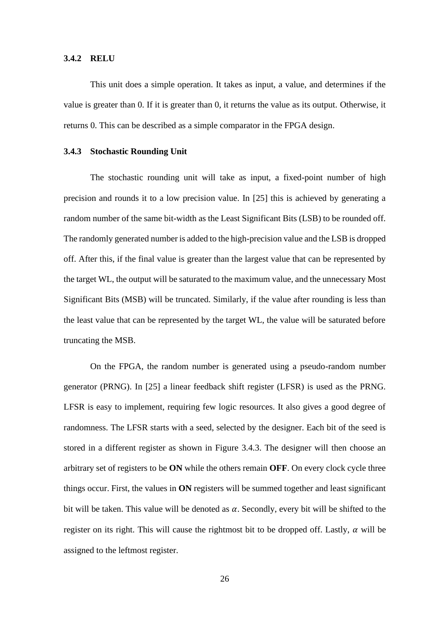#### <span id="page-32-0"></span>**3.4.2 RELU**

This unit does a simple operation. It takes as input, a value, and determines if the value is greater than 0. If it is greater than 0, it returns the value as its output. Otherwise, it returns 0. This can be described as a simple comparator in the FPGA design.

#### <span id="page-32-1"></span>**3.4.3 Stochastic Rounding Unit**

The stochastic rounding unit will take as input, a fixed-point number of high precision and rounds it to a low precision value. In [25] this is achieved by generating a random number of the same bit-width as the Least Significant Bits (LSB) to be rounded off. The randomly generated number is added to the high-precision value and the LSB is dropped off. After this, if the final value is greater than the largest value that can be represented by the target WL, the output will be saturated to the maximum value, and the unnecessary Most Significant Bits (MSB) will be truncated. Similarly, if the value after rounding is less than the least value that can be represented by the target WL, the value will be saturated before truncating the MSB.

On the FPGA, the random number is generated using a pseudo-random number generator (PRNG). In [25] a linear feedback shift register (LFSR) is used as the PRNG. LFSR is easy to implement, requiring few logic resources. It also gives a good degree of randomness. The LFSR starts with a seed, selected by the designer. Each bit of the seed is stored in a different register as shown in Figure 3.4.3. The designer will then choose an arbitrary set of registers to be **ON** while the others remain **OFF**. On every clock cycle three things occur. First, the values in **ON** registers will be summed together and least significant bit will be taken. This value will be denoted as  $\alpha$ . Secondly, every bit will be shifted to the register on its right. This will cause the rightmost bit to be dropped off. Lastly,  $\alpha$  will be assigned to the leftmost register.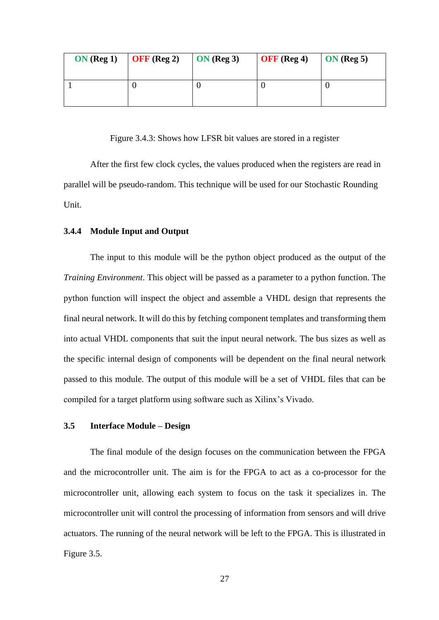| ON(Reg 1) | $\overline{\text{OFF}}$ (Reg 2) | ON(Reg 3) | <b>OFF</b> (Reg 4) | $\overline{ON}$ (Reg 5) |
|-----------|---------------------------------|-----------|--------------------|-------------------------|
|           |                                 |           |                    |                         |

Figure 3.4.3: Shows how LFSR bit values are stored in a register

After the first few clock cycles, the values produced when the registers are read in parallel will be pseudo-random. This technique will be used for our Stochastic Rounding Unit.

#### <span id="page-33-0"></span>**3.4.4 Module Input and Output**

The input to this module will be the python object produced as the output of the *Training Environment*. This object will be passed as a parameter to a python function. The python function will inspect the object and assemble a VHDL design that represents the final neural network. It will do this by fetching component templates and transforming them into actual VHDL components that suit the input neural network. The bus sizes as well as the specific internal design of components will be dependent on the final neural network passed to this module. The output of this module will be a set of VHDL files that can be compiled for a target platform using software such as Xilinx's Vivado.

#### <span id="page-33-1"></span>**3.5 Interface Module – Design**

The final module of the design focuses on the communication between the FPGA and the microcontroller unit. The aim is for the FPGA to act as a co-processor for the microcontroller unit, allowing each system to focus on the task it specializes in. The microcontroller unit will control the processing of information from sensors and will drive actuators. The running of the neural network will be left to the FPGA. This is illustrated in Figure 3.5.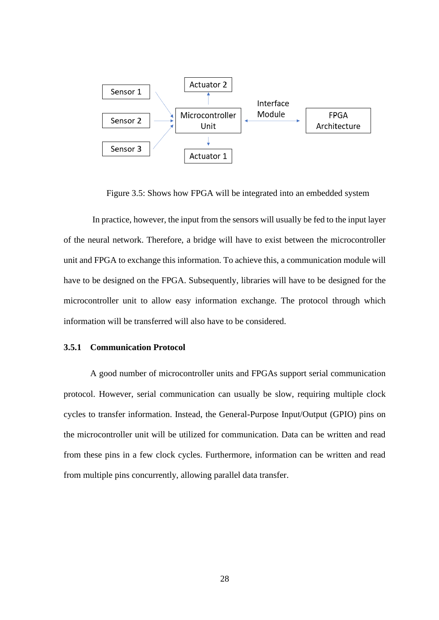

Figure 3.5: Shows how FPGA will be integrated into an embedded system

In practice, however, the input from the sensors will usually be fed to the input layer of the neural network. Therefore, a bridge will have to exist between the microcontroller unit and FPGA to exchange this information. To achieve this, a communication module will have to be designed on the FPGA. Subsequently, libraries will have to be designed for the microcontroller unit to allow easy information exchange. The protocol through which information will be transferred will also have to be considered.

#### <span id="page-34-0"></span>**3.5.1 Communication Protocol**

A good number of microcontroller units and FPGAs support serial communication protocol. However, serial communication can usually be slow, requiring multiple clock cycles to transfer information. Instead, the General-Purpose Input/Output (GPIO) pins on the microcontroller unit will be utilized for communication. Data can be written and read from these pins in a few clock cycles. Furthermore, information can be written and read from multiple pins concurrently, allowing parallel data transfer.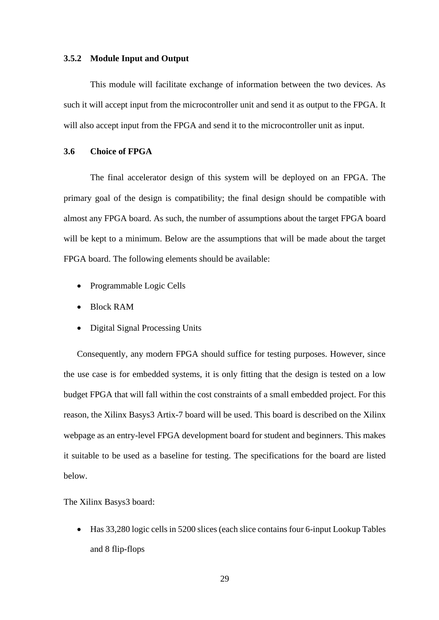#### <span id="page-35-0"></span>**3.5.2 Module Input and Output**

This module will facilitate exchange of information between the two devices. As such it will accept input from the microcontroller unit and send it as output to the FPGA. It will also accept input from the FPGA and send it to the microcontroller unit as input.

# <span id="page-35-1"></span>**3.6 Choice of FPGA**

The final accelerator design of this system will be deployed on an FPGA. The primary goal of the design is compatibility; the final design should be compatible with almost any FPGA board. As such, the number of assumptions about the target FPGA board will be kept to a minimum. Below are the assumptions that will be made about the target FPGA board. The following elements should be available:

- Programmable Logic Cells
- Block RAM
- Digital Signal Processing Units

Consequently, any modern FPGA should suffice for testing purposes. However, since the use case is for embedded systems, it is only fitting that the design is tested on a low budget FPGA that will fall within the cost constraints of a small embedded project. For this reason, the Xilinx Basys3 Artix-7 board will be used. This board is described on the Xilinx webpage as an entry-level FPGA development board for student and beginners. This makes it suitable to be used as a baseline for testing. The specifications for the board are listed below.

The Xilinx Basys3 board:

• Has 33,280 logic cells in 5200 slices (each slice contains four 6-input Lookup Tables and 8 flip-flops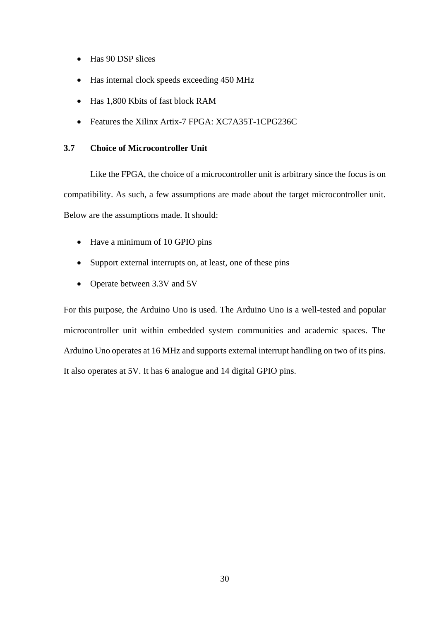- Has 90 DSP slices
- Has internal clock speeds exceeding 450 MHz
- Has 1,800 Kbits of fast block RAM
- Features the Xilinx Artix-7 FPGA: XC7A35T-1CPG236C

# <span id="page-36-0"></span>**3.7 Choice of Microcontroller Unit**

Like the FPGA, the choice of a microcontroller unit is arbitrary since the focus is on compatibility. As such, a few assumptions are made about the target microcontroller unit. Below are the assumptions made. It should:

- Have a minimum of 10 GPIO pins
- Support external interrupts on, at least, one of these pins
- Operate between 3.3V and 5V

For this purpose, the Arduino Uno is used. The Arduino Uno is a well-tested and popular microcontroller unit within embedded system communities and academic spaces. The Arduino Uno operates at 16 MHz and supports external interrupt handling on two of its pins. It also operates at 5V. It has 6 analogue and 14 digital GPIO pins.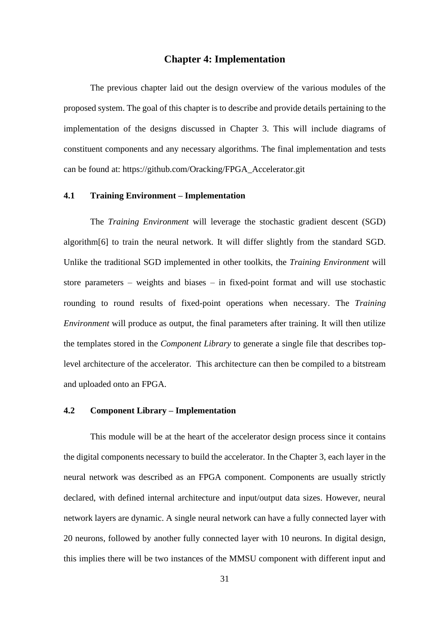## **Chapter 4: Implementation**

<span id="page-37-0"></span>The previous chapter laid out the design overview of the various modules of the proposed system. The goal of this chapter is to describe and provide details pertaining to the implementation of the designs discussed in Chapter 3. This will include diagrams of constituent components and any necessary algorithms. The final implementation and tests can be found at: https://github.com/Oracking/FPGA\_Accelerator.git

#### <span id="page-37-1"></span>**4.1 Training Environment – Implementation**

The *Training Environment* will leverage the stochastic gradient descent (SGD) algorithm[6] to train the neural network. It will differ slightly from the standard SGD. Unlike the traditional SGD implemented in other toolkits, the *Training Environment* will store parameters – weights and biases – in fixed-point format and will use stochastic rounding to round results of fixed-point operations when necessary. The *Training Environment* will produce as output, the final parameters after training. It will then utilize the templates stored in the *Component Library* to generate a single file that describes toplevel architecture of the accelerator. This architecture can then be compiled to a bitstream and uploaded onto an FPGA.

# <span id="page-37-2"></span>**4.2 Component Library – Implementation**

This module will be at the heart of the accelerator design process since it contains the digital components necessary to build the accelerator. In the Chapter 3, each layer in the neural network was described as an FPGA component. Components are usually strictly declared, with defined internal architecture and input/output data sizes. However, neural network layers are dynamic. A single neural network can have a fully connected layer with 20 neurons, followed by another fully connected layer with 10 neurons. In digital design, this implies there will be two instances of the MMSU component with different input and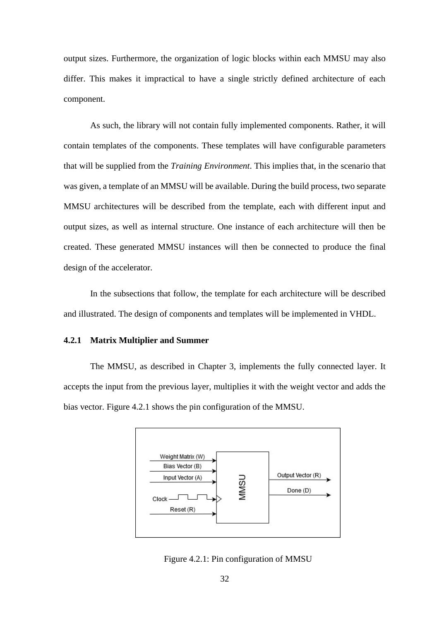output sizes. Furthermore, the organization of logic blocks within each MMSU may also differ. This makes it impractical to have a single strictly defined architecture of each component.

As such, the library will not contain fully implemented components. Rather, it will contain templates of the components. These templates will have configurable parameters that will be supplied from the *Training Environment*. This implies that, in the scenario that was given, a template of an MMSU will be available. During the build process, two separate MMSU architectures will be described from the template, each with different input and output sizes, as well as internal structure. One instance of each architecture will then be created. These generated MMSU instances will then be connected to produce the final design of the accelerator.

In the subsections that follow, the template for each architecture will be described and illustrated. The design of components and templates will be implemented in VHDL.

#### <span id="page-38-0"></span>**4.2.1 Matrix Multiplier and Summer**

The MMSU, as described in Chapter 3, implements the fully connected layer. It accepts the input from the previous layer, multiplies it with the weight vector and adds the bias vector. Figure 4.2.1 shows the pin configuration of the MMSU.



Figure 4.2.1: Pin configuration of MMSU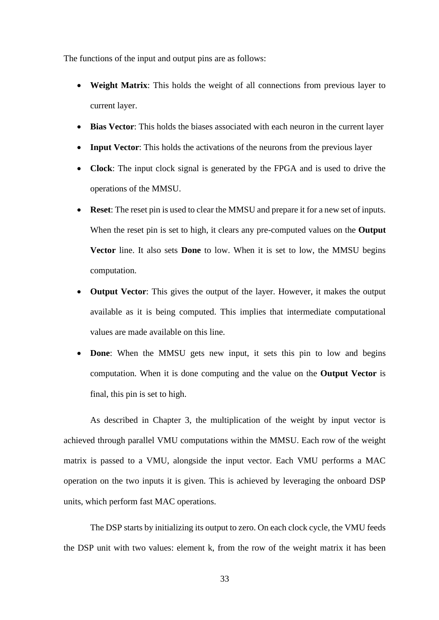The functions of the input and output pins are as follows:

- **Weight Matrix**: This holds the weight of all connections from previous layer to current layer.
- **Bias Vector:** This holds the biases associated with each neuron in the current layer
- **Input Vector:** This holds the activations of the neurons from the previous layer
- **Clock**: The input clock signal is generated by the FPGA and is used to drive the operations of the MMSU.
- **Reset**: The reset pin is used to clear the MMSU and prepare it for a new set of inputs. When the reset pin is set to high, it clears any pre-computed values on the **Output Vector** line. It also sets **Done** to low. When it is set to low, the MMSU begins computation.
- **Output Vector:** This gives the output of the layer. However, it makes the output available as it is being computed. This implies that intermediate computational values are made available on this line.
- **Done:** When the MMSU gets new input, it sets this pin to low and begins computation. When it is done computing and the value on the **Output Vector** is final, this pin is set to high.

As described in Chapter 3, the multiplication of the weight by input vector is achieved through parallel VMU computations within the MMSU. Each row of the weight matrix is passed to a VMU, alongside the input vector. Each VMU performs a MAC operation on the two inputs it is given. This is achieved by leveraging the onboard DSP units, which perform fast MAC operations.

The DSP starts by initializing its output to zero. On each clock cycle, the VMU feeds the DSP unit with two values: element k, from the row of the weight matrix it has been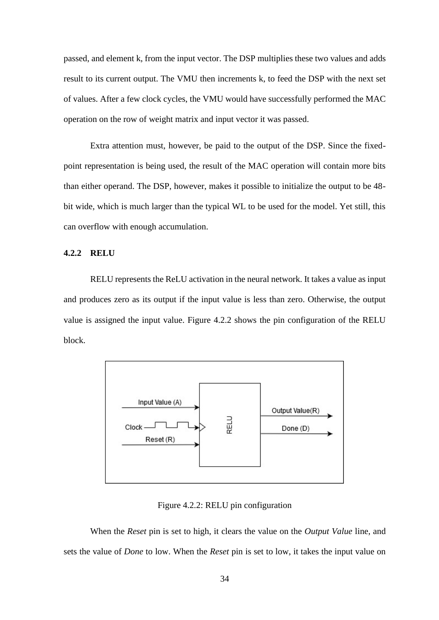passed, and element k, from the input vector. The DSP multiplies these two values and adds result to its current output. The VMU then increments k, to feed the DSP with the next set of values. After a few clock cycles, the VMU would have successfully performed the MAC operation on the row of weight matrix and input vector it was passed.

Extra attention must, however, be paid to the output of the DSP. Since the fixedpoint representation is being used, the result of the MAC operation will contain more bits than either operand. The DSP, however, makes it possible to initialize the output to be 48 bit wide, which is much larger than the typical WL to be used for the model. Yet still, this can overflow with enough accumulation.

#### <span id="page-40-0"></span>**4.2.2 RELU**

RELU represents the ReLU activation in the neural network. It takes a value as input and produces zero as its output if the input value is less than zero. Otherwise, the output value is assigned the input value. Figure 4.2.2 shows the pin configuration of the RELU block.



Figure 4.2.2: RELU pin configuration

When the *Reset* pin is set to high, it clears the value on the *Output Value* line, and sets the value of *Done* to low. When the *Reset* pin is set to low, it takes the input value on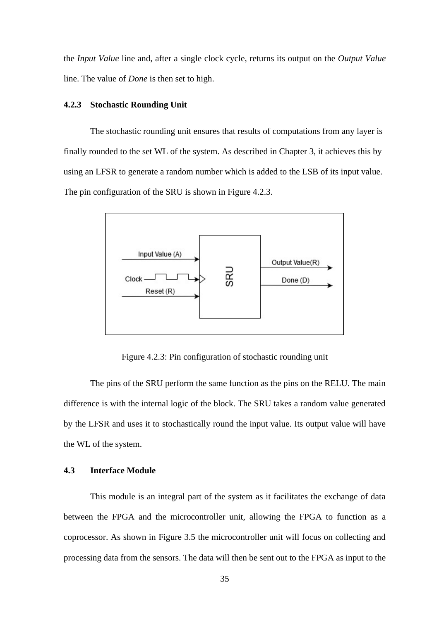the *Input Value* line and, after a single clock cycle, returns its output on the *Output Value*  line. The value of *Done* is then set to high.

#### <span id="page-41-0"></span>**4.2.3 Stochastic Rounding Unit**

The stochastic rounding unit ensures that results of computations from any layer is finally rounded to the set WL of the system. As described in Chapter 3, it achieves this by using an LFSR to generate a random number which is added to the LSB of its input value. The pin configuration of the SRU is shown in Figure 4.2.3.



Figure 4.2.3: Pin configuration of stochastic rounding unit

The pins of the SRU perform the same function as the pins on the RELU. The main difference is with the internal logic of the block. The SRU takes a random value generated by the LFSR and uses it to stochastically round the input value. Its output value will have the WL of the system.

#### <span id="page-41-1"></span>**4.3 Interface Module**

This module is an integral part of the system as it facilitates the exchange of data between the FPGA and the microcontroller unit, allowing the FPGA to function as a coprocessor. As shown in Figure 3.5 the microcontroller unit will focus on collecting and processing data from the sensors. The data will then be sent out to the FPGA as input to the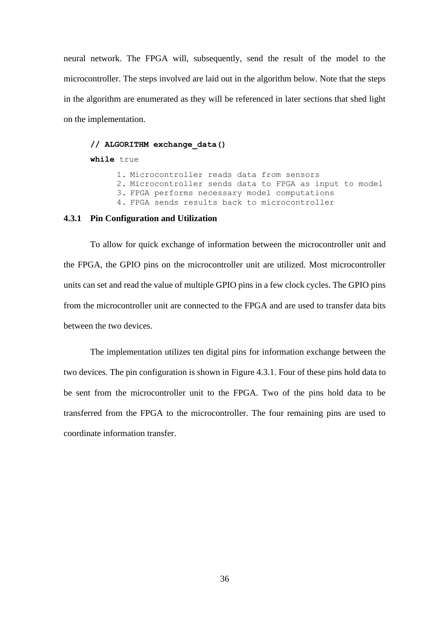neural network. The FPGA will, subsequently, send the result of the model to the microcontroller. The steps involved are laid out in the algorithm below. Note that the steps in the algorithm are enumerated as they will be referenced in later sections that shed light on the implementation.

#### **// ALGORITHM exchange\_data()**

#### **while** true

1. Microcontroller reads data from sensors

- 2. Microcontroller sends data to FPGA as input to model
- 3. FPGA performs necessary model computations
- 4. FPGA sends results back to microcontroller

#### <span id="page-42-0"></span>**4.3.1 Pin Configuration and Utilization**

To allow for quick exchange of information between the microcontroller unit and the FPGA, the GPIO pins on the microcontroller unit are utilized. Most microcontroller units can set and read the value of multiple GPIO pins in a few clock cycles. The GPIO pins from the microcontroller unit are connected to the FPGA and are used to transfer data bits between the two devices.

The implementation utilizes ten digital pins for information exchange between the two devices. The pin configuration is shown in Figure 4.3.1. Four of these pins hold data to be sent from the microcontroller unit to the FPGA. Two of the pins hold data to be transferred from the FPGA to the microcontroller. The four remaining pins are used to coordinate information transfer.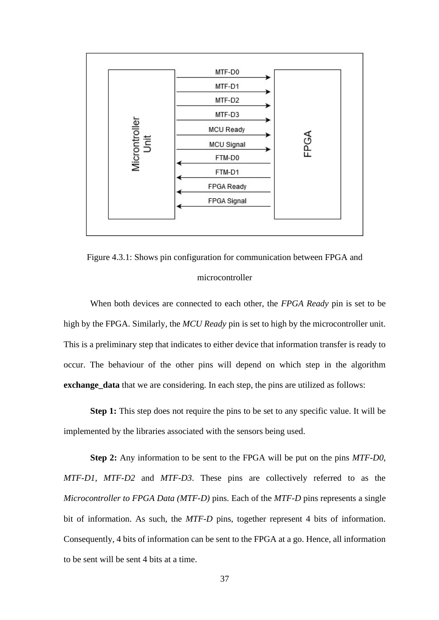

Figure 4.3.1: Shows pin configuration for communication between FPGA and microcontroller

When both devices are connected to each other, the *FPGA Ready* pin is set to be high by the FPGA. Similarly, the *MCU Ready* pin is set to high by the microcontroller unit. This is a preliminary step that indicates to either device that information transfer is ready to occur. The behaviour of the other pins will depend on which step in the algorithm **exchange\_data** that we are considering. In each step, the pins are utilized as follows:

**Step 1:** This step does not require the pins to be set to any specific value. It will be implemented by the libraries associated with the sensors being used.

**Step 2:** Any information to be sent to the FPGA will be put on the pins *MTF-D0*, *MTF-D1*, *MTF-D2* and *MTF-D3*. These pins are collectively referred to as the *Microcontroller to FPGA Data (MTF-D)* pins. Each of the *MTF-D* pins represents a single bit of information. As such, the *MTF-D* pins, together represent 4 bits of information. Consequently, 4 bits of information can be sent to the FPGA at a go. Hence, all information to be sent will be sent 4 bits at a time.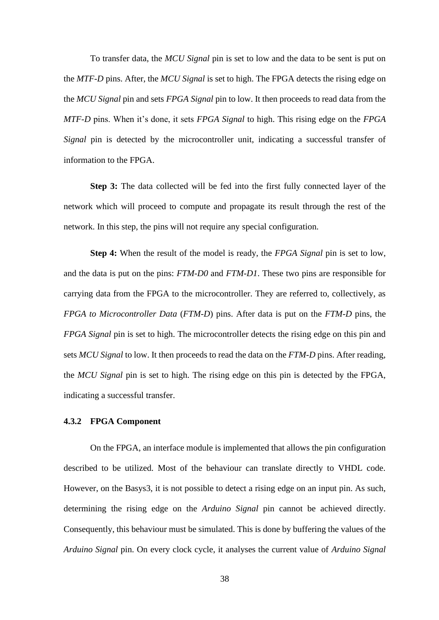To transfer data, the *MCU Signal* pin is set to low and the data to be sent is put on the *MTF-D* pins. After, the *MCU Signal* is set to high. The FPGA detects the rising edge on the *MCU Signal* pin and sets *FPGA Signal* pin to low. It then proceeds to read data from the *MTF-D* pins. When it's done, it sets *FPGA Signal* to high. This rising edge on the *FPGA Signal* pin is detected by the microcontroller unit, indicating a successful transfer of information to the FPGA.

**Step 3:** The data collected will be fed into the first fully connected layer of the network which will proceed to compute and propagate its result through the rest of the network. In this step, the pins will not require any special configuration.

**Step 4:** When the result of the model is ready, the *FPGA Signal* pin is set to low, and the data is put on the pins: *FTM-D0* and *FTM-D1*. These two pins are responsible for carrying data from the FPGA to the microcontroller. They are referred to, collectively, as *FPGA to Microcontroller Data* (*FTM-D*) pins. After data is put on the *FTM-D* pins, the *FPGA Signal* pin is set to high. The microcontroller detects the rising edge on this pin and sets *MCU Signal* to low. It then proceeds to read the data on the *FTM-D* pins. After reading, the *MCU Signal* pin is set to high. The rising edge on this pin is detected by the FPGA, indicating a successful transfer.

#### <span id="page-44-0"></span>**4.3.2 FPGA Component**

On the FPGA, an interface module is implemented that allows the pin configuration described to be utilized. Most of the behaviour can translate directly to VHDL code. However, on the Basys3, it is not possible to detect a rising edge on an input pin. As such, determining the rising edge on the *Arduino Signal* pin cannot be achieved directly. Consequently, this behaviour must be simulated. This is done by buffering the values of the *Arduino Signal* pin. On every clock cycle, it analyses the current value of *Arduino Signal*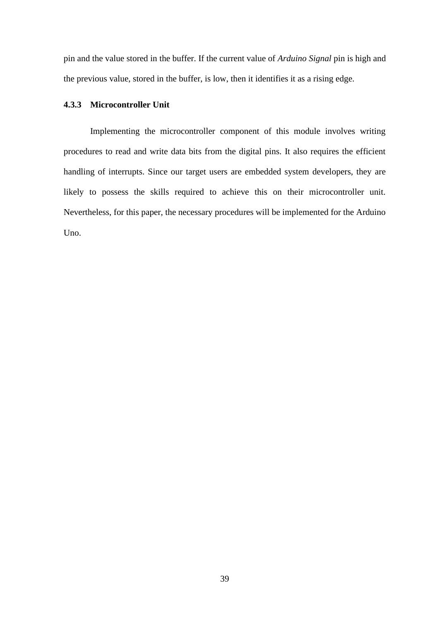pin and the value stored in the buffer. If the current value of *Arduino Signal* pin is high and the previous value, stored in the buffer, is low, then it identifies it as a rising edge.

# <span id="page-45-0"></span>**4.3.3 Microcontroller Unit**

Implementing the microcontroller component of this module involves writing procedures to read and write data bits from the digital pins. It also requires the efficient handling of interrupts. Since our target users are embedded system developers, they are likely to possess the skills required to achieve this on their microcontroller unit. Nevertheless, for this paper, the necessary procedures will be implemented for the Arduino Uno.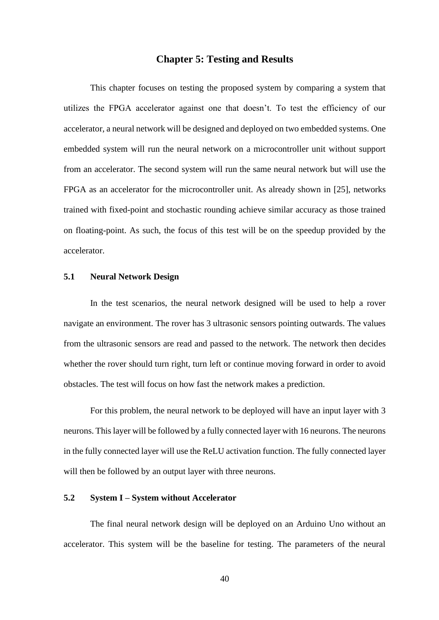# **Chapter 5: Testing and Results**

<span id="page-46-0"></span>This chapter focuses on testing the proposed system by comparing a system that utilizes the FPGA accelerator against one that doesn't. To test the efficiency of our accelerator, a neural network will be designed and deployed on two embedded systems. One embedded system will run the neural network on a microcontroller unit without support from an accelerator. The second system will run the same neural network but will use the FPGA as an accelerator for the microcontroller unit. As already shown in [25], networks trained with fixed-point and stochastic rounding achieve similar accuracy as those trained on floating-point. As such, the focus of this test will be on the speedup provided by the accelerator.

## <span id="page-46-1"></span>**5.1 Neural Network Design**

In the test scenarios, the neural network designed will be used to help a rover navigate an environment. The rover has 3 ultrasonic sensors pointing outwards. The values from the ultrasonic sensors are read and passed to the network. The network then decides whether the rover should turn right, turn left or continue moving forward in order to avoid obstacles. The test will focus on how fast the network makes a prediction.

For this problem, the neural network to be deployed will have an input layer with 3 neurons. This layer will be followed by a fully connected layer with 16 neurons. The neurons in the fully connected layer will use the ReLU activation function. The fully connected layer will then be followed by an output layer with three neurons.

#### <span id="page-46-2"></span>**5.2 System I – System without Accelerator**

The final neural network design will be deployed on an Arduino Uno without an accelerator. This system will be the baseline for testing. The parameters of the neural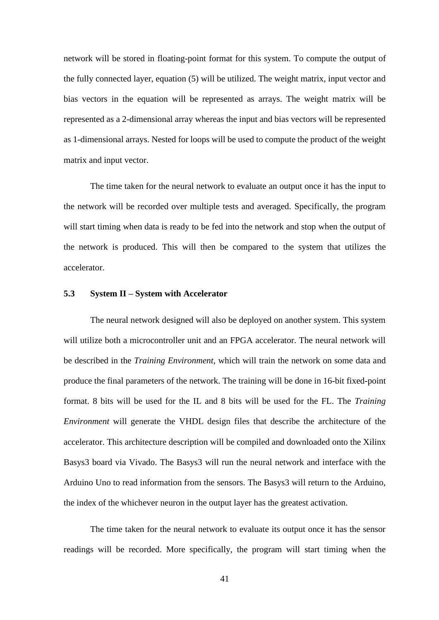network will be stored in floating-point format for this system. To compute the output of the fully connected layer, equation (5) will be utilized. The weight matrix, input vector and bias vectors in the equation will be represented as arrays. The weight matrix will be represented as a 2-dimensional array whereas the input and bias vectors will be represented as 1-dimensional arrays. Nested for loops will be used to compute the product of the weight matrix and input vector.

The time taken for the neural network to evaluate an output once it has the input to the network will be recorded over multiple tests and averaged. Specifically, the program will start timing when data is ready to be fed into the network and stop when the output of the network is produced. This will then be compared to the system that utilizes the accelerator.

#### <span id="page-47-0"></span>**5.3 System II – System with Accelerator**

The neural network designed will also be deployed on another system. This system will utilize both a microcontroller unit and an FPGA accelerator. The neural network will be described in the *Training Environment*, which will train the network on some data and produce the final parameters of the network. The training will be done in 16-bit fixed-point format. 8 bits will be used for the IL and 8 bits will be used for the FL. The *Training Environment* will generate the VHDL design files that describe the architecture of the accelerator. This architecture description will be compiled and downloaded onto the Xilinx Basys3 board via Vivado. The Basys3 will run the neural network and interface with the Arduino Uno to read information from the sensors. The Basys3 will return to the Arduino, the index of the whichever neuron in the output layer has the greatest activation.

The time taken for the neural network to evaluate its output once it has the sensor readings will be recorded. More specifically, the program will start timing when the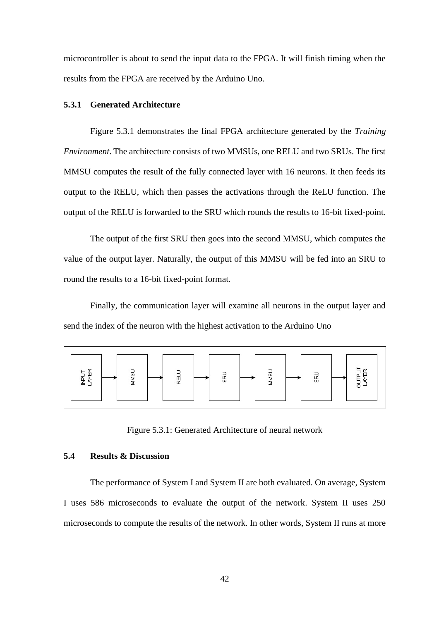microcontroller is about to send the input data to the FPGA. It will finish timing when the results from the FPGA are received by the Arduino Uno.

## <span id="page-48-0"></span>**5.3.1 Generated Architecture**

Figure 5.3.1 demonstrates the final FPGA architecture generated by the *Training Environment*. The architecture consists of two MMSUs, one RELU and two SRUs. The first MMSU computes the result of the fully connected layer with 16 neurons. It then feeds its output to the RELU, which then passes the activations through the ReLU function. The output of the RELU is forwarded to the SRU which rounds the results to 16-bit fixed-point.

The output of the first SRU then goes into the second MMSU, which computes the value of the output layer. Naturally, the output of this MMSU will be fed into an SRU to round the results to a 16-bit fixed-point format.

Finally, the communication layer will examine all neurons in the output layer and send the index of the neuron with the highest activation to the Arduino Uno



Figure 5.3.1: Generated Architecture of neural network

# <span id="page-48-1"></span>**5.4 Results & Discussion**

The performance of System I and System II are both evaluated. On average, System I uses 586 microseconds to evaluate the output of the network. System II uses 250 microseconds to compute the results of the network. In other words, System II runs at more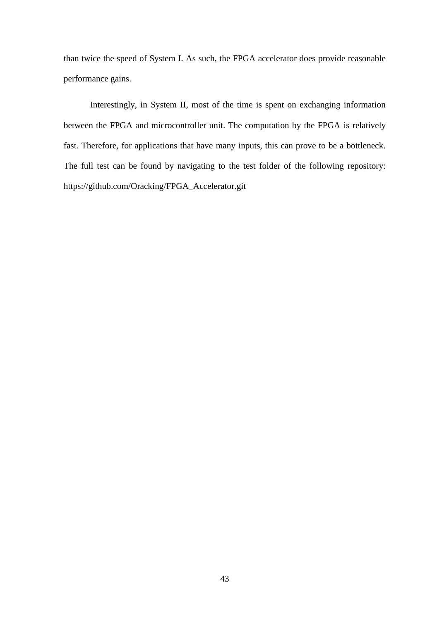than twice the speed of System I. As such, the FPGA accelerator does provide reasonable performance gains.

Interestingly, in System II, most of the time is spent on exchanging information between the FPGA and microcontroller unit. The computation by the FPGA is relatively fast. Therefore, for applications that have many inputs, this can prove to be a bottleneck. The full test can be found by navigating to the test folder of the following repository: https://github.com/Oracking/FPGA\_Accelerator.git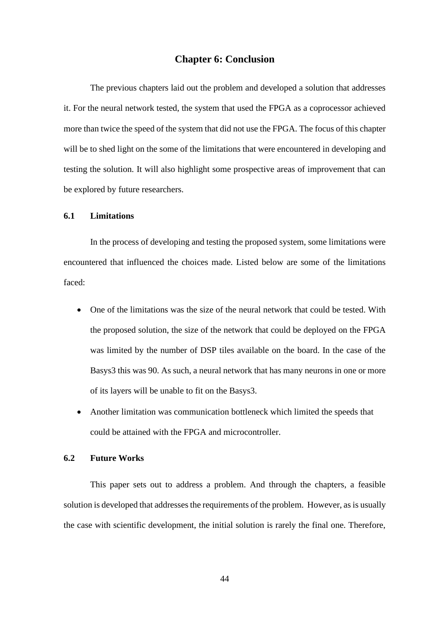# **Chapter 6: Conclusion**

<span id="page-50-0"></span>The previous chapters laid out the problem and developed a solution that addresses it. For the neural network tested, the system that used the FPGA as a coprocessor achieved more than twice the speed of the system that did not use the FPGA. The focus of this chapter will be to shed light on the some of the limitations that were encountered in developing and testing the solution. It will also highlight some prospective areas of improvement that can be explored by future researchers.

## <span id="page-50-1"></span>**6.1 Limitations**

In the process of developing and testing the proposed system, some limitations were encountered that influenced the choices made. Listed below are some of the limitations faced:

- One of the limitations was the size of the neural network that could be tested. With the proposed solution, the size of the network that could be deployed on the FPGA was limited by the number of DSP tiles available on the board. In the case of the Basys3 this was 90. As such, a neural network that has many neurons in one or more of its layers will be unable to fit on the Basys3.
- Another limitation was communication bottleneck which limited the speeds that could be attained with the FPGA and microcontroller.

# <span id="page-50-2"></span>**6.2 Future Works**

This paper sets out to address a problem. And through the chapters, a feasible solution is developed that addresses the requirements of the problem. However, as is usually the case with scientific development, the initial solution is rarely the final one. Therefore,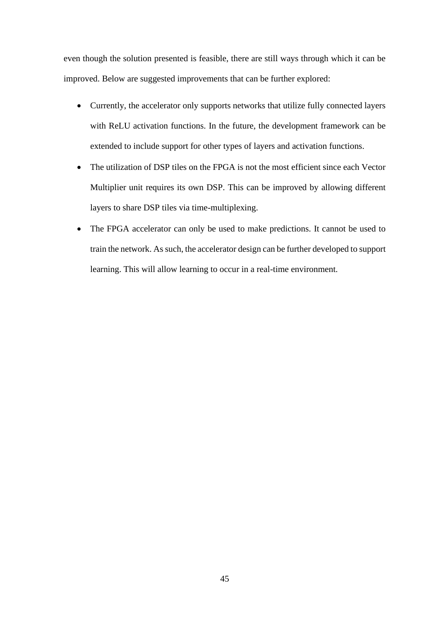even though the solution presented is feasible, there are still ways through which it can be improved. Below are suggested improvements that can be further explored:

- Currently, the accelerator only supports networks that utilize fully connected layers with ReLU activation functions. In the future, the development framework can be extended to include support for other types of layers and activation functions.
- The utilization of DSP tiles on the FPGA is not the most efficient since each Vector Multiplier unit requires its own DSP. This can be improved by allowing different layers to share DSP tiles via time-multiplexing.
- The FPGA accelerator can only be used to make predictions. It cannot be used to train the network. As such, the accelerator design can be further developed to support learning. This will allow learning to occur in a real-time environment.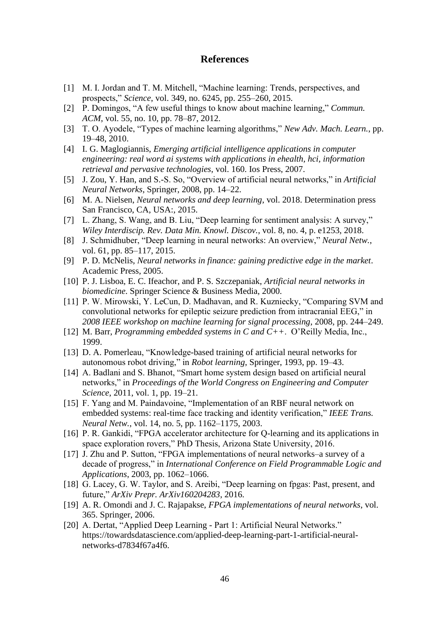# **References**

- <span id="page-52-0"></span>[1] M. I. Jordan and T. M. Mitchell, "Machine learning: Trends, perspectives, and prospects," *Science*, vol. 349, no. 6245, pp. 255–260, 2015.
- [2] P. Domingos, "A few useful things to know about machine learning," *Commun. ACM*, vol. 55, no. 10, pp. 78–87, 2012.
- [3] T. O. Ayodele, "Types of machine learning algorithms," *New Adv. Mach. Learn.*, pp. 19–48, 2010.
- [4] I. G. Maglogiannis, *Emerging artificial intelligence applications in computer engineering: real word ai systems with applications in ehealth, hci, information retrieval and pervasive technologies*, vol. 160. Ios Press, 2007.
- [5] J. Zou, Y. Han, and S.-S. So, "Overview of artificial neural networks," in *Artificial Neural Networks*, Springer, 2008, pp. 14–22.
- [6] M. A. Nielsen, *Neural networks and deep learning*, vol. 2018. Determination press San Francisco, CA, USA:, 2015.
- [7] L. Zhang, S. Wang, and B. Liu, "Deep learning for sentiment analysis: A survey," *Wiley Interdiscip. Rev. Data Min. Knowl. Discov.*, vol. 8, no. 4, p. e1253, 2018.
- [8] J. Schmidhuber, "Deep learning in neural networks: An overview," *Neural Netw.*, vol. 61, pp. 85–117, 2015.
- [9] P. D. McNelis, *Neural networks in finance: gaining predictive edge in the market*. Academic Press, 2005.
- [10] P. J. Lisboa, E. C. Ifeachor, and P. S. Szczepaniak, *Artificial neural networks in biomedicine*. Springer Science & Business Media, 2000.
- [11] P. W. Mirowski, Y. LeCun, D. Madhavan, and R. Kuzniecky, "Comparing SVM and convolutional networks for epileptic seizure prediction from intracranial EEG," in *2008 IEEE workshop on machine learning for signal processing*, 2008, pp. 244–249.
- [12] M. Barr, *Programming embedded systems in C and C++*. O'Reilly Media, Inc., 1999.
- [13] D. A. Pomerleau, "Knowledge-based training of artificial neural networks for autonomous robot driving," in *Robot learning*, Springer, 1993, pp. 19–43.
- [14] A. Badlani and S. Bhanot, "Smart home system design based on artificial neural networks," in *Proceedings of the World Congress on Engineering and Computer Science*, 2011, vol. 1, pp. 19–21.
- [15] F. Yang and M. Paindavoine, "Implementation of an RBF neural network on embedded systems: real-time face tracking and identity verification," *IEEE Trans. Neural Netw.*, vol. 14, no. 5, pp. 1162–1175, 2003.
- [16] P. R. Gankidi, "FPGA accelerator architecture for Q-learning and its applications in space exploration rovers," PhD Thesis, Arizona State University, 2016.
- [17] J. Zhu and P. Sutton, "FPGA implementations of neural networks–a survey of a decade of progress," in *International Conference on Field Programmable Logic and Applications*, 2003, pp. 1062–1066.
- [18] G. Lacey, G. W. Taylor, and S. Areibi, "Deep learning on fpgas: Past, present, and future," *ArXiv Prepr. ArXiv160204283*, 2016.
- [19] A. R. Omondi and J. C. Rajapakse, *FPGA implementations of neural networks*, vol. 365. Springer, 2006.
- [20] A. Dertat, "Applied Deep Learning Part 1: Artificial Neural Networks." https://towardsdatascience.com/applied-deep-learning-part-1-artificial-neuralnetworks-d7834f67a4f6.